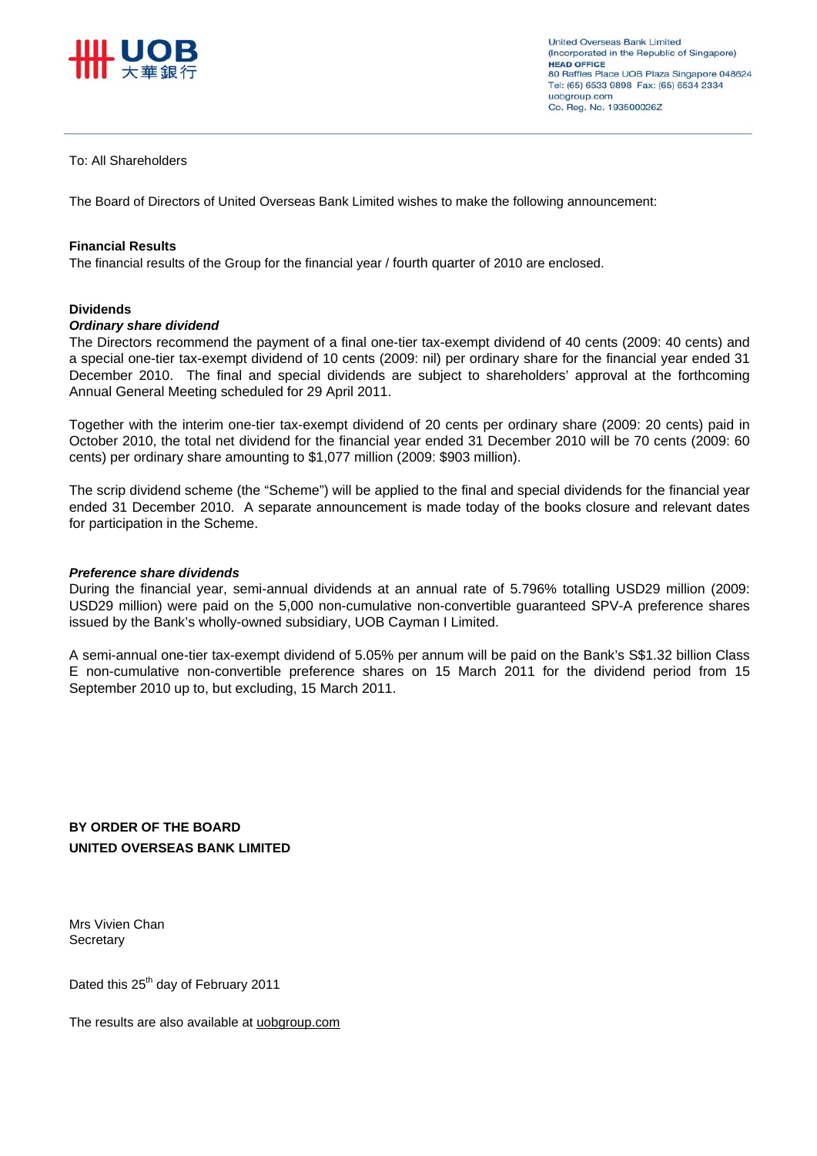

### To: All Shareholders

The Board of Directors of United Overseas Bank Limited wishes to make the following announcement:

#### **Financial Results**

The financial results of the Group for the financial year / fourth quarter of 2010 are enclosed.

#### **Dividends**

#### *Ordinary share dividend*

The Directors recommend the payment of a final one-tier tax-exempt dividend of 40 cents (2009: 40 cents) and a special one-tier tax-exempt dividend of 10 cents (2009: nil) per ordinary share for the financial year ended 31 December 2010. The final and special dividends are subject to shareholders' approval at the forthcoming Annual General Meeting scheduled for 29 April 2011.

Together with the interim one-tier tax-exempt dividend of 20 cents per ordinary share (2009: 20 cents) paid in October 2010, the total net dividend for the financial year ended 31 December 2010 will be 70 cents (2009: 60 cents) per ordinary share amounting to \$1,077 million (2009: \$903 million).

The scrip dividend scheme (the "Scheme") will be applied to the final and special dividends for the financial year ended 31 December 2010. A separate announcement is made today of the books closure and relevant dates for participation in the Scheme.

#### *Preference share dividends*

During the financial year, semi-annual dividends at an annual rate of 5.796% totalling USD29 million (2009: USD29 million) were paid on the 5,000 non-cumulative non-convertible guaranteed SPV-A preference shares issued by the Bank's wholly-owned subsidiary, UOB Cayman I Limited.

A semi-annual one-tier tax-exempt dividend of 5.05% per annum will be paid on the Bank's S\$1.32 billion Class E non-cumulative non-convertible preference shares on 15 March 2011 for the dividend period from 15 September 2010 up to, but excluding, 15 March 2011.

**BY ORDER OF THE BOARD UNITED OVERSEAS BANK LIMITED** 

Mrs Vivien Chan **Secretary** 

Dated this 25<sup>th</sup> day of February 2011

The results are also available at uobgroup.com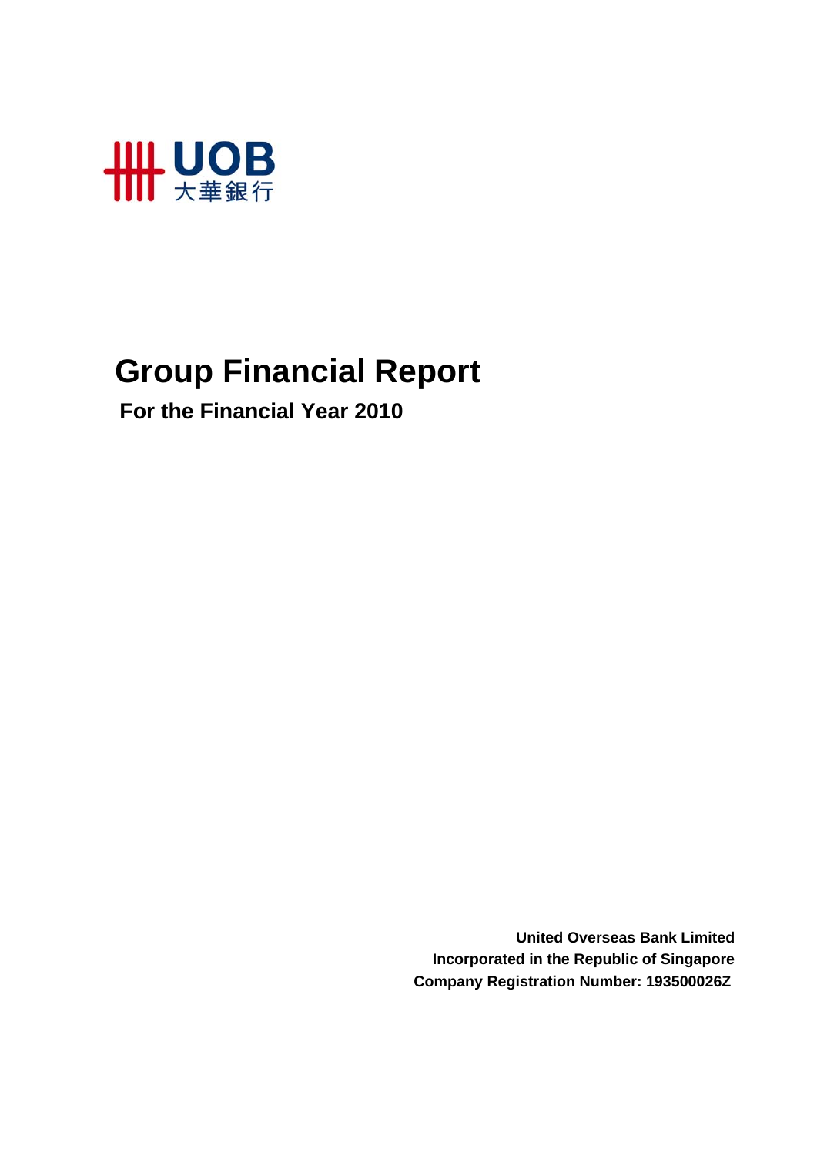

# **Group Financial Report**

 **For the Financial Year 2010**

**United Overseas Bank Limited Incorporated in the Republic of Singapore Company Registration Number: 193500026Z**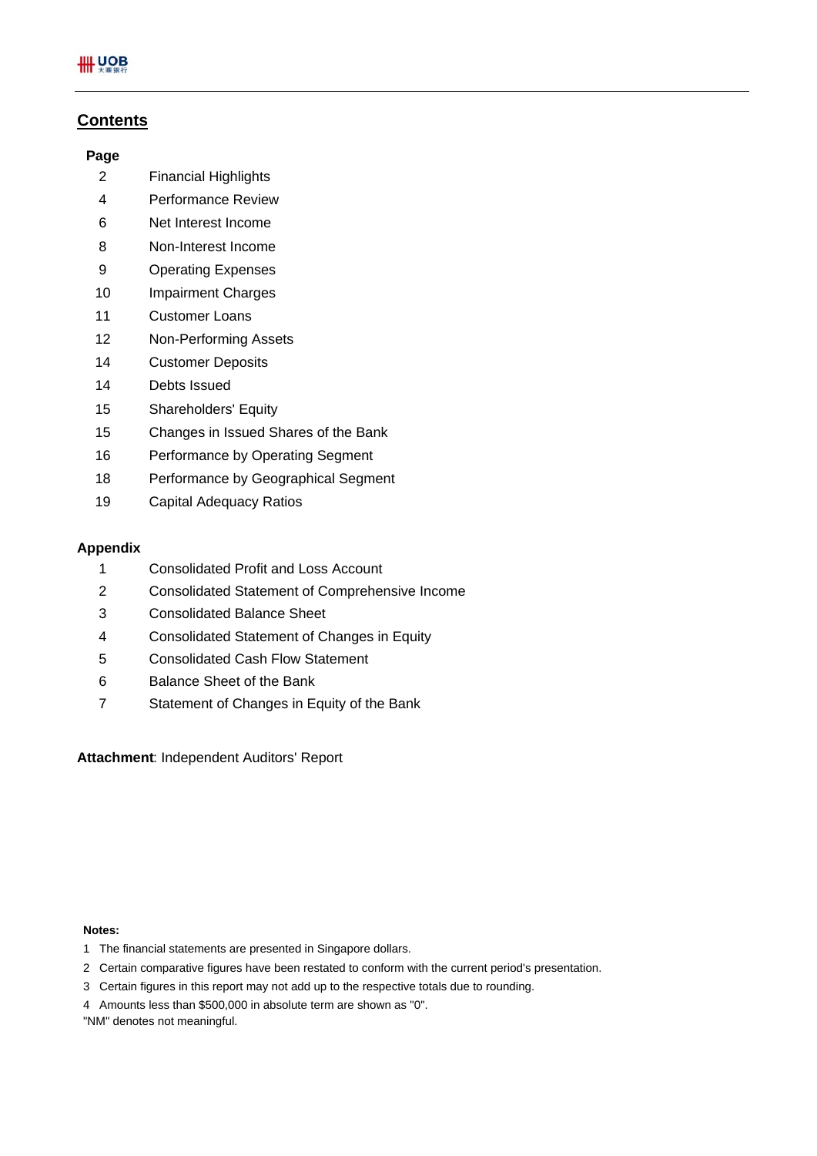# **Contents**

# **Page**

- 2 Financial Highlights
- 4 Performance Review
- 6 Net Interest Income
- 8 Non-Interest Income
- 9 Operating Expenses
- 10 Impairment Charges
- 11 Customer Loans
- 12 Non-Performing Assets
- 14 Customer Deposits
- 14 Debts Issued
- 15 Shareholders' Equity
- 15 Changes in Issued Shares of the Bank
- 16 Performance by Operating Segment
- 18 Performance by Geographical Segment
- 19 Capital Adequacy Ratios

### **Appendix**

- 1 Consolidated Profit and Loss Account
- 2 Consolidated Statement of Comprehensive Income
- 3 Consolidated Balance Sheet
- 4 Consolidated Statement of Changes in Equity
- 5 Consolidated Cash Flow Statement
- 6 Balance Sheet of the Bank
- 7 Statement of Changes in Equity of the Bank

**Attachment**: Independent Auditors' Report

#### **Notes:**

- 1 The financial statements are presented in Singapore dollars.
- 2 Certain comparative figures have been restated to conform with the current period's presentation.
- 3 Certain figures in this report may not add up to the respective totals due to rounding.
- 4 Amounts less than \$500,000 in absolute term are shown as "0".

"NM" denotes not meaningful.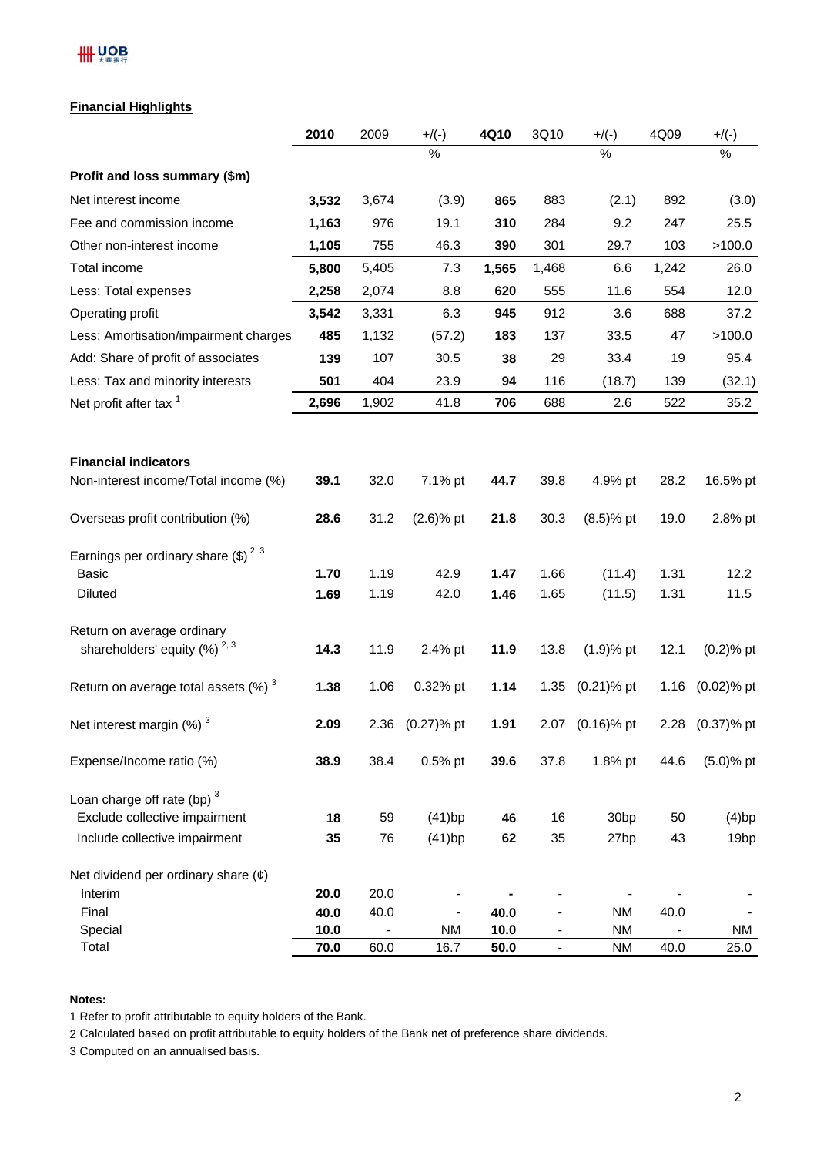

# **Financial Highlights**

|                                                    | 2010         | 2009  | $+$ /(-)          | 4Q10         | 3Q10                         | $+$ /(-)               | 4Q09  | $+$ /(-)         |
|----------------------------------------------------|--------------|-------|-------------------|--------------|------------------------------|------------------------|-------|------------------|
|                                                    |              |       | $\%$              |              |                              | $\%$                   |       | %                |
| Profit and loss summary (\$m)                      |              |       |                   |              |                              |                        |       |                  |
| Net interest income                                | 3,532        | 3,674 | (3.9)             | 865          | 883                          | (2.1)                  | 892   | (3.0)            |
| Fee and commission income                          | 1,163        | 976   | 19.1              | 310          | 284                          | 9.2                    | 247   | 25.5             |
| Other non-interest income                          | 1,105        | 755   | 46.3              | 390          | 301                          | 29.7                   | 103   | >100.0           |
| Total income                                       | 5,800        | 5,405 | 7.3               | 1,565        | 1,468                        | 6.6                    | 1,242 | 26.0             |
| Less: Total expenses                               | 2,258        | 2,074 | 8.8               | 620          | 555                          | 11.6                   | 554   | 12.0             |
| Operating profit                                   | 3,542        | 3,331 | 6.3               | 945          | 912                          | 3.6                    | 688   | 37.2             |
| Less: Amortisation/impairment charges              | 485          | 1,132 | (57.2)            | 183          | 137                          | 33.5                   | 47    | >100.0           |
| Add: Share of profit of associates                 | 139          | 107   | 30.5              | 38           | 29                           | 33.4                   | 19    | 95.4             |
| Less: Tax and minority interests                   | 501          | 404   | 23.9              | 94           | 116                          | (18.7)                 | 139   | (32.1)           |
| Net profit after tax <sup>1</sup>                  | 2,696        | 1,902 | 41.8              | 706          | 688                          | 2.6                    | 522   | 35.2             |
|                                                    |              |       |                   |              |                              |                        |       |                  |
| <b>Financial indicators</b>                        |              |       |                   |              |                              |                        |       |                  |
| Non-interest income/Total income (%)               | 39.1         | 32.0  | 7.1% pt           | 44.7         | 39.8                         | 4.9% pt                | 28.2  | 16.5% pt         |
| Overseas profit contribution (%)                   | 28.6         | 31.2  | $(2.6)$ % pt      | 21.8         | 30.3                         | $(8.5)$ % pt           | 19.0  | 2.8% pt          |
| Earnings per ordinary share $(\text{$\$})^{2,3}$   |              |       |                   |              |                              |                        |       |                  |
| <b>Basic</b>                                       | 1.70         | 1.19  | 42.9              | 1.47         | 1.66                         | (11.4)                 | 1.31  | 12.2             |
| <b>Diluted</b>                                     | 1.69         | 1.19  | 42.0              | 1.46         | 1.65                         | (11.5)                 | 1.31  | 11.5             |
| Return on average ordinary                         |              |       |                   |              |                              |                        |       |                  |
| shareholders' equity $(%)^{2,3}$                   | 14.3         | 11.9  | 2.4% pt           | 11.9         | 13.8                         | $(1.9)%$ pt            | 12.1  | $(0.2)$ % pt     |
| Return on average total assets $(\%)$ <sup>3</sup> | 1.38         | 1.06  | 0.32% pt          | 1.14         | 1.35                         | $(0.21)$ % pt          | 1.16  | $(0.02)$ % pt    |
| Net interest margin (%) <sup>3</sup>               | 2.09         | 2.36  | $(0.27)$ % pt     | 1.91         | 2.07                         | $(0.16)$ % pt          |       | 2.28 (0.37)% pt  |
| Expense/Income ratio (%)                           | 38.9         | 38.4  | $0.5%$ pt         | 39.6         | 37.8                         | 1.8% pt                | 44.6  | $(5.0)$ % pt     |
| Loan charge off rate (bp) $3$                      |              |       |                   |              |                              |                        |       |                  |
| Exclude collective impairment                      | 18           | 59    | (41)bp            | 46           | 16                           | 30 <sub>bp</sub>       | 50    | (4)bp            |
| Include collective impairment                      | 35           | 76    | (41)bp            | 62           | 35                           | 27bp                   | 43    | 19 <sub>bp</sub> |
| Net dividend per ordinary share $(\phi)$           |              |       |                   |              |                              |                        |       |                  |
| Interim                                            | 20.0         | 20.0  |                   |              |                              |                        |       |                  |
| Final                                              | 40.0         | 40.0  |                   | 40.0         |                              | <b>NM</b>              | 40.0  |                  |
| Special<br>Total                                   | 10.0<br>70.0 | 60.0  | <b>NM</b><br>16.7 | 10.0<br>50.0 | $\qquad \qquad \blacksquare$ | <b>NM</b><br><b>NM</b> | 40.0  | ΝM<br>25.0       |
|                                                    |              |       |                   |              |                              |                        |       |                  |

**Notes:**

1 Refer to profit attributable to equity holders of the Bank.

2 Calculated based on profit attributable to equity holders of the Bank net of preference share dividends.

3 Computed on an annualised basis.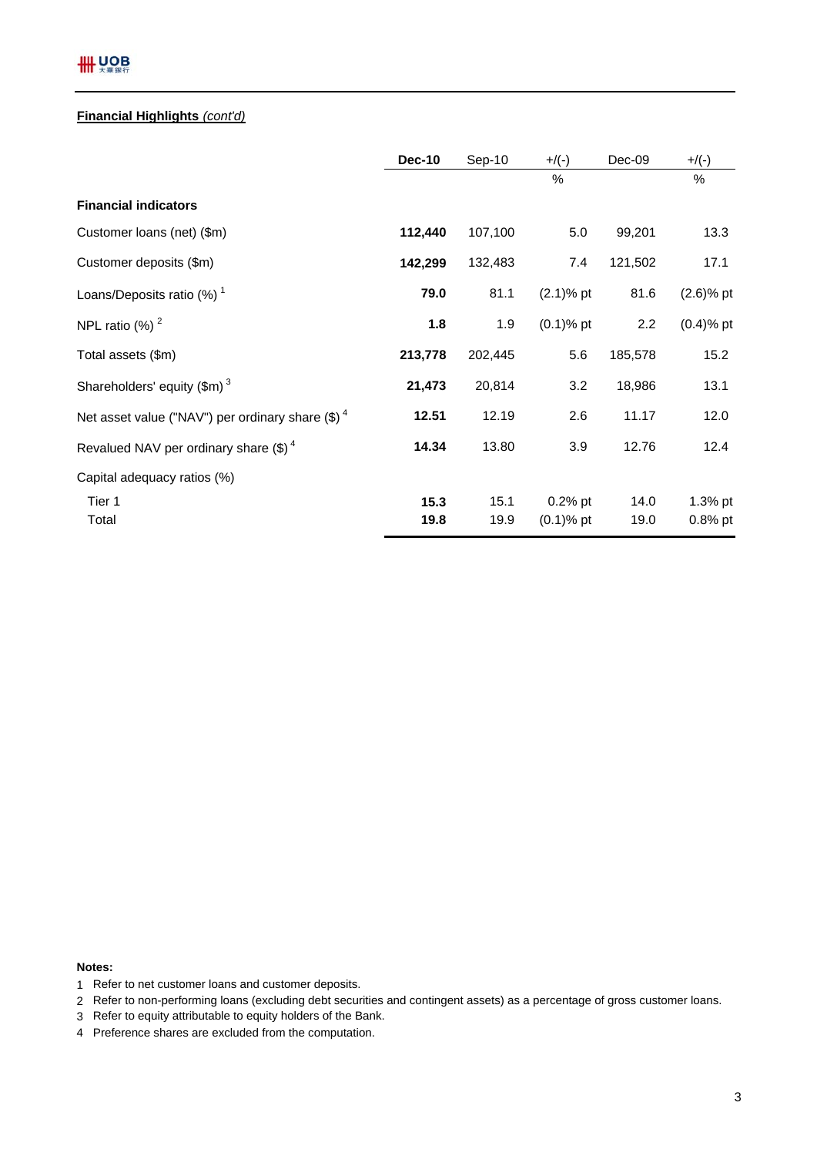### **Financial Highlights** *(cont'd)*

|                                                             | <b>Dec-10</b> | Sep-10  | $+$ /(-)     | $Dec-09$ | $+$ /(-)     |
|-------------------------------------------------------------|---------------|---------|--------------|----------|--------------|
|                                                             |               |         | %            |          | %            |
| <b>Financial indicators</b>                                 |               |         |              |          |              |
| Customer loans (net) (\$m)                                  | 112,440       | 107,100 | 5.0          | 99,201   | 13.3         |
| Customer deposits (\$m)                                     | 142,299       | 132,483 | 7.4          | 121,502  | 17.1         |
| Loans/Deposits ratio $(%)$ <sup>1</sup>                     | 79.0          | 81.1    | $(2.1)$ % pt | 81.6     | $(2.6)$ % pt |
| NPL ratio $(\%)$ <sup>2</sup>                               | 1.8           | 1.9     | $(0.1)$ % pt | 2.2      | $(0.4)$ % pt |
| Total assets (\$m)                                          | 213,778       | 202,445 | 5.6          | 185,578  | 15.2         |
| Shareholders' equity $(\text{Im})^3$                        | 21,473        | 20,814  | 3.2          | 18,986   | 13.1         |
| Net asset value ("NAV") per ordinary share $(\text{$\$})^4$ | 12.51         | 12.19   | 2.6          | 11.17    | 12.0         |
| Revalued NAV per ordinary share $(\text{\$})^4$             | 14.34         | 13.80   | 3.9          | 12.76    | 12.4         |
| Capital adequacy ratios (%)                                 |               |         |              |          |              |
| Tier 1                                                      | 15.3          | 15.1    | $0.2\%$ pt   | 14.0     | 1.3% pt      |
| Total                                                       | 19.8          | 19.9    | $(0.1)$ % pt | 19.0     | $0.8%$ pt    |

**Notes:**

- 1 Refer to net customer loans and customer deposits.
- 2 Refer to non-performing loans (excluding debt securities and contingent assets) as a percentage of gross customer loans.
- 3 Refer to equity attributable to equity holders of the Bank.
- 4 Preference shares are excluded from the computation.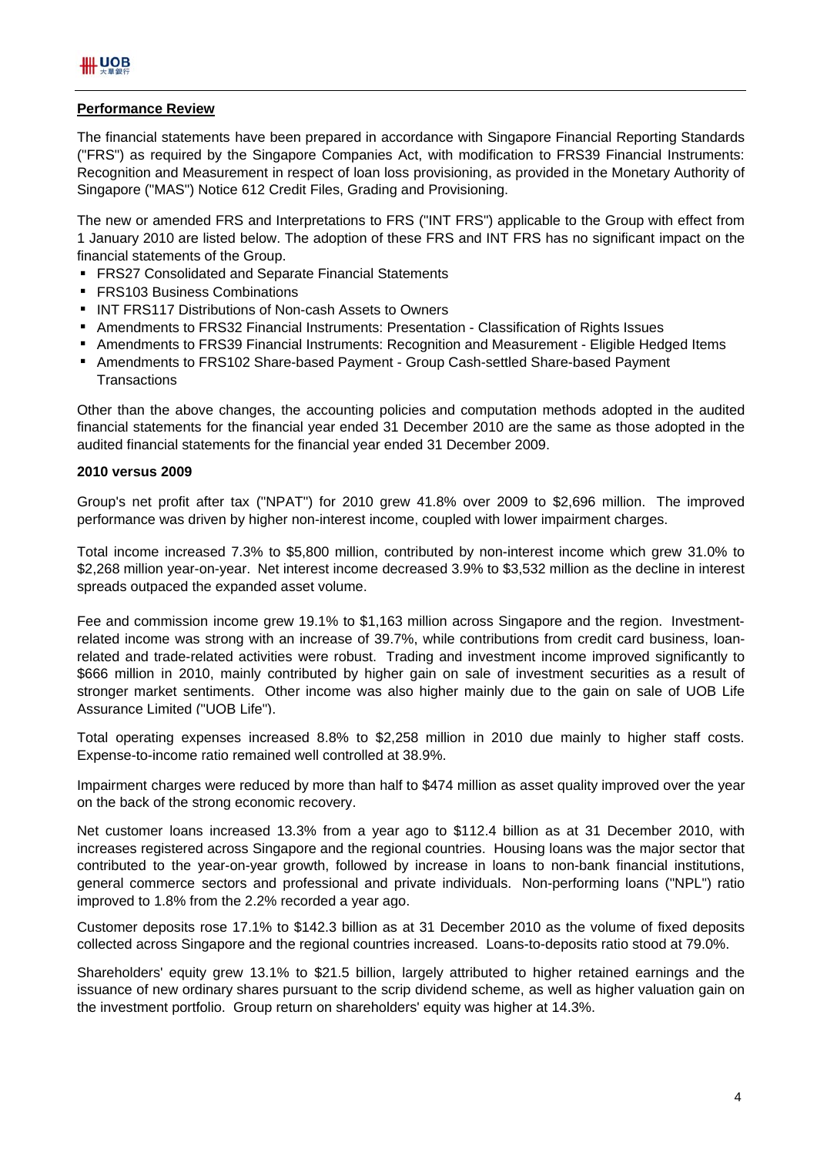# **Performance Review**

The financial statements have been prepared in accordance with Singapore Financial Reporting Standards ("FRS") as required by the Singapore Companies Act, with modification to FRS39 Financial Instruments: Recognition and Measurement in respect of loan loss provisioning, as provided in the Monetary Authority of Singapore ("MAS") Notice 612 Credit Files, Grading and Provisioning.

The new or amended FRS and Interpretations to FRS ("INT FRS") applicable to the Group with effect from 1 January 2010 are listed below. The adoption of these FRS and INT FRS has no significant impact on the financial statements of the Group.

- **FRS27 Consolidated and Separate Financial Statements**
- **FRS103 Business Combinations**
- **INT FRS117 Distributions of Non-cash Assets to Owners**
- **F** Amendments to FRS32 Financial Instruments: Presentation Classification of Rights Issues
- Amendments to FRS39 Financial Instruments: Recognition and Measurement Eligible Hedged Items
- **Amendments to FRS102 Share-based Payment Group Cash-settled Share-based Payment Transactions**

Other than the above changes, the accounting policies and computation methods adopted in the audited financial statements for the financial year ended 31 December 2010 are the same as those adopted in the audited financial statements for the financial year ended 31 December 2009.

# **2010 versus 2009**

Group's net profit after tax ("NPAT") for 2010 grew 41.8% over 2009 to \$2,696 million. The improved performance was driven by higher non-interest income, coupled with lower impairment charges.

Total income increased 7.3% to \$5,800 million, contributed by non-interest income which grew 31.0% to \$2,268 million year-on-year. Net interest income decreased 3.9% to \$3,532 million as the decline in interest spreads outpaced the expanded asset volume.

Fee and commission income grew 19.1% to \$1,163 million across Singapore and the region. Investmentrelated income was strong with an increase of 39.7%, while contributions from credit card business, loanrelated and trade-related activities were robust. Trading and investment income improved significantly to \$666 million in 2010, mainly contributed by higher gain on sale of investment securities as a result of stronger market sentiments. Other income was also higher mainly due to the gain on sale of UOB Life Assurance Limited ("UOB Life").

Total operating expenses increased 8.8% to \$2,258 million in 2010 due mainly to higher staff costs. Expense-to-income ratio remained well controlled at 38.9%.

Impairment charges were reduced by more than half to \$474 million as asset quality improved over the year on the back of the strong economic recovery.

Net customer loans increased 13.3% from a year ago to \$112.4 billion as at 31 December 2010, with increases registered across Singapore and the regional countries. Housing loans was the major sector that contributed to the year-on-year growth, followed by increase in loans to non-bank financial institutions, general commerce sectors and professional and private individuals. Non-performing loans ("NPL") ratio improved to 1.8% from the 2.2% recorded a year ago.

Customer deposits rose 17.1% to \$142.3 billion as at 31 December 2010 as the volume of fixed deposits collected across Singapore and the regional countries increased. Loans-to-deposits ratio stood at 79.0%.

Shareholders' equity grew 13.1% to \$21.5 billion, largely attributed to higher retained earnings and the issuance of new ordinary shares pursuant to the scrip dividend scheme, as well as higher valuation gain on the investment portfolio. Group return on shareholders' equity was higher at 14.3%.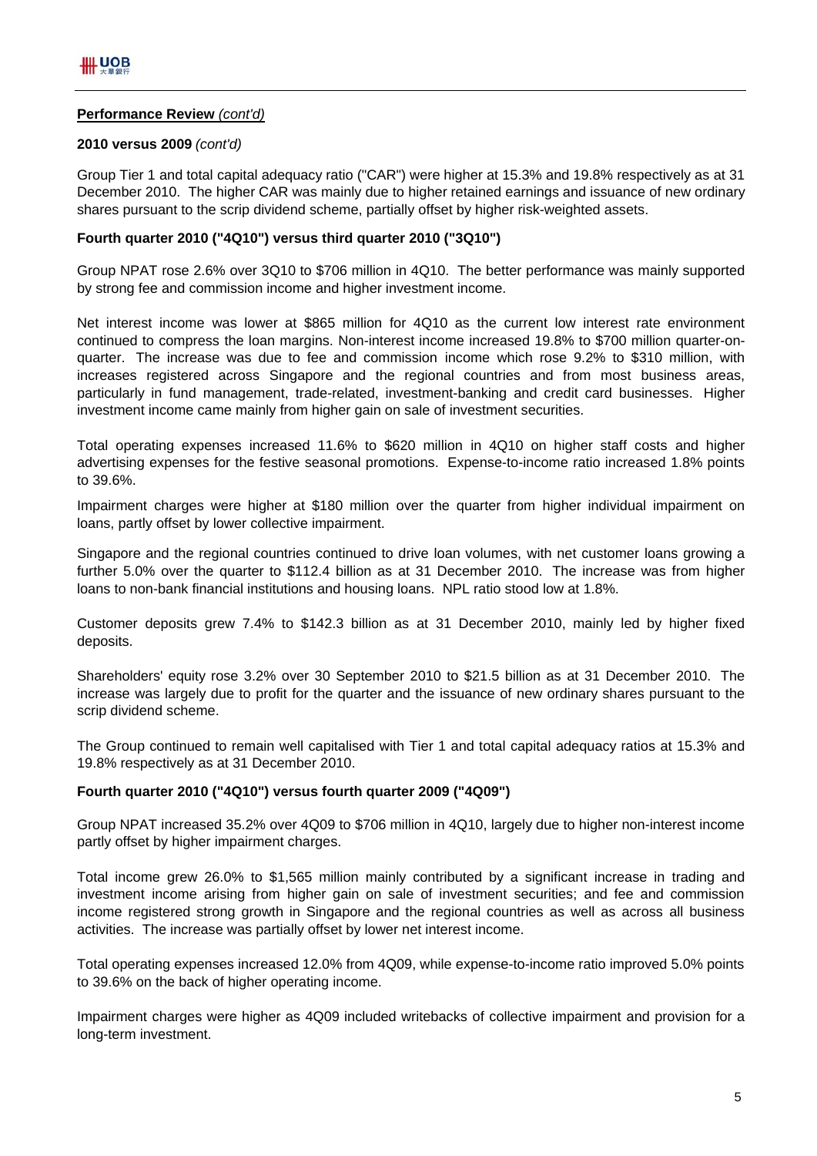# **Performance Review** *(cont'd)*

### **2010 versus 2009** *(cont'd)*

Group Tier 1 and total capital adequacy ratio ("CAR") were higher at 15.3% and 19.8% respectively as at 31 December 2010. The higher CAR was mainly due to higher retained earnings and issuance of new ordinary shares pursuant to the scrip dividend scheme, partially offset by higher risk-weighted assets.

# **Fourth quarter 2010 ("4Q10") versus third quarter 2010 ("3Q10")**

Group NPAT rose 2.6% over 3Q10 to \$706 million in 4Q10. The better performance was mainly supported by strong fee and commission income and higher investment income.

Net interest income was lower at \$865 million for 4Q10 as the current low interest rate environment continued to compress the loan margins. Non-interest income increased 19.8% to \$700 million quarter-onquarter. The increase was due to fee and commission income which rose 9.2% to \$310 million, with increases registered across Singapore and the regional countries and from most business areas, particularly in fund management, trade-related, investment-banking and credit card businesses. Higher investment income came mainly from higher gain on sale of investment securities.

Total operating expenses increased 11.6% to \$620 million in 4Q10 on higher staff costs and higher advertising expenses for the festive seasonal promotions. Expense-to-income ratio increased 1.8% points to 39.6%.

Impairment charges were higher at \$180 million over the quarter from higher individual impairment on loans, partly offset by lower collective impairment.

Singapore and the regional countries continued to drive loan volumes, with net customer loans growing a further 5.0% over the quarter to \$112.4 billion as at 31 December 2010. The increase was from higher loans to non-bank financial institutions and housing loans. NPL ratio stood low at 1.8%.

Customer deposits grew 7.4% to \$142.3 billion as at 31 December 2010, mainly led by higher fixed deposits.

Shareholders' equity rose 3.2% over 30 September 2010 to \$21.5 billion as at 31 December 2010. The increase was largely due to profit for the quarter and the issuance of new ordinary shares pursuant to the scrip dividend scheme.

The Group continued to remain well capitalised with Tier 1 and total capital adequacy ratios at 15.3% and 19.8% respectively as at 31 December 2010.

### **Fourth quarter 2010 ("4Q10") versus fourth quarter 2009 ("4Q09")**

Group NPAT increased 35.2% over 4Q09 to \$706 million in 4Q10, largely due to higher non-interest income partly offset by higher impairment charges.

Total income grew 26.0% to \$1,565 million mainly contributed by a significant increase in trading and investment income arising from higher gain on sale of investment securities; and fee and commission income registered strong growth in Singapore and the regional countries as well as across all business activities. The increase was partially offset by lower net interest income.

Total operating expenses increased 12.0% from 4Q09, while expense-to-income ratio improved 5.0% points to 39.6% on the back of higher operating income.

Impairment charges were higher as 4Q09 included writebacks of collective impairment and provision for a long-term investment.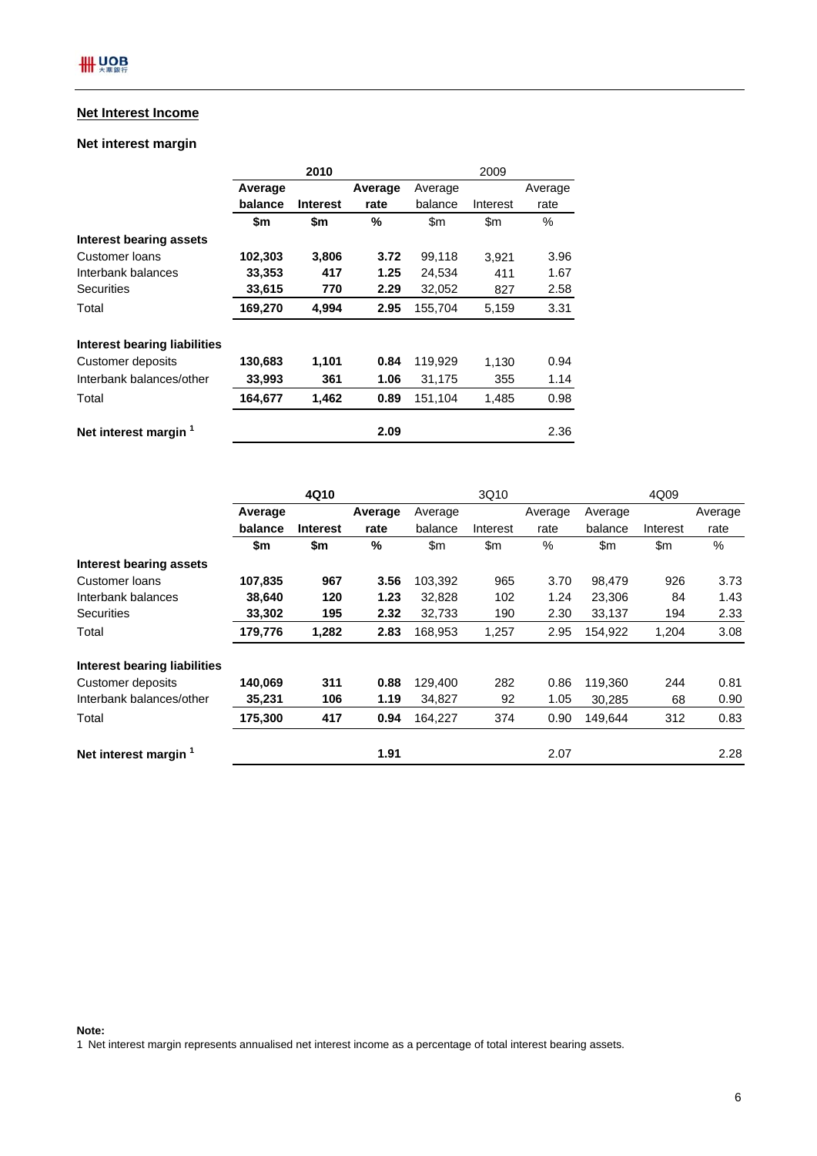# **Net Interest Income**

# **Net interest margin**

|                                  |         | 2010            |         |         | 2009          |         |
|----------------------------------|---------|-----------------|---------|---------|---------------|---------|
|                                  | Average |                 | Average | Average |               | Average |
|                                  | balance | <b>Interest</b> | rate    | balance | Interest      | rate    |
|                                  | \$m     | \$m             | %       | \$m     | $\mathsf{Sm}$ | $\%$    |
| Interest bearing assets          |         |                 |         |         |               |         |
| Customer Ioans                   | 102,303 | 3,806           | 3.72    | 99,118  | 3.921         | 3.96    |
| Interbank balances               | 33,353  | 417             | 1.25    | 24,534  | 411           | 1.67    |
| <b>Securities</b>                | 33,615  | 770             | 2.29    | 32,052  | 827           | 2.58    |
| Total                            | 169,270 | 4,994           | 2.95    | 155,704 | 5,159         | 3.31    |
| Interest bearing liabilities     |         |                 |         |         |               |         |
| Customer deposits                | 130,683 | 1,101           | 0.84    | 119,929 | 1,130         | 0.94    |
| Interbank balances/other         | 33,993  | 361             | 1.06    | 31,175  | 355           | 1.14    |
| Total                            | 164,677 | 1,462           | 0.89    | 151,104 | 1,485         | 0.98    |
| Net interest margin <sup>1</sup> |         |                 | 2.09    |         |               | 2.36    |

|                                  |         | 4Q10            |         |               | 3Q10     |         |         | 4Q09     |         |
|----------------------------------|---------|-----------------|---------|---------------|----------|---------|---------|----------|---------|
|                                  | Average |                 | Average | Average       |          | Average | Average |          | Average |
|                                  | balance | <b>Interest</b> | rate    | balance       | Interest | rate    | balance | Interest | rate    |
|                                  | \$m     | \$m             | %       | $\mathsf{Sm}$ | \$m      | $\%$    | \$m     | \$m      | %       |
| <b>Interest bearing assets</b>   |         |                 |         |               |          |         |         |          |         |
| Customer loans                   | 107,835 | 967             | 3.56    | 103,392       | 965      | 3.70    | 98,479  | 926      | 3.73    |
| Interbank balances               | 38,640  | 120             | 1.23    | 32,828        | 102      | 1.24    | 23,306  | 84       | 1.43    |
| <b>Securities</b>                | 33,302  | 195             | 2.32    | 32,733        | 190      | 2.30    | 33,137  | 194      | 2.33    |
| Total                            | 179,776 | 1,282           | 2.83    | 168,953       | 1,257    | 2.95    | 154,922 | 1,204    | 3.08    |
| Interest bearing liabilities     |         |                 |         |               |          |         |         |          |         |
| Customer deposits                | 140,069 | 311             | 0.88    | 129,400       | 282      | 0.86    | 119,360 | 244      | 0.81    |
| Interbank balances/other         | 35,231  | 106             | 1.19    | 34,827        | 92       | 1.05    | 30,285  | 68       | 0.90    |
| Total                            | 175,300 | 417             | 0.94    | 164,227       | 374      | 0.90    | 149,644 | 312      | 0.83    |
| Net interest margin <sup>1</sup> |         |                 | 1.91    |               |          | 2.07    |         |          | 2.28    |

### **Note:**

1 Net interest margin represents annualised net interest income as a percentage of total interest bearing assets.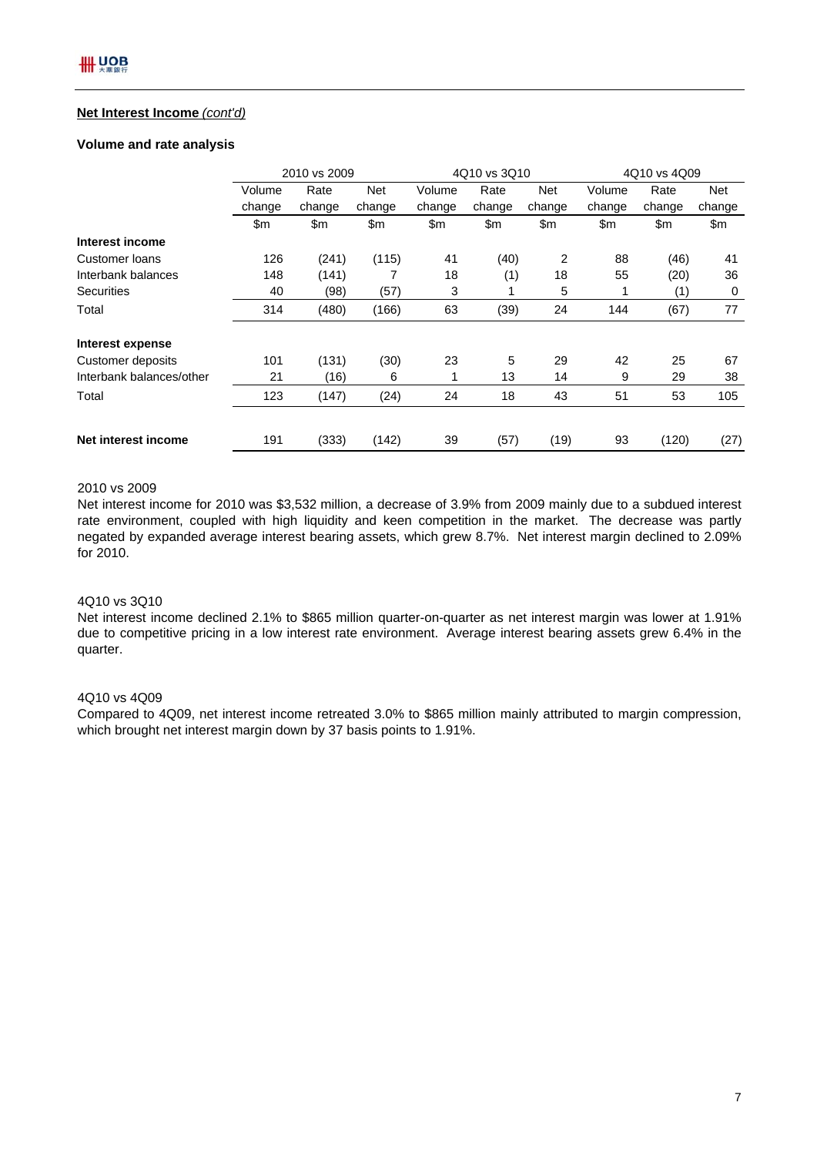# **Net Interest Income** *(cont'd)*

### **Volume and rate analysis**

|                          | 2010 vs 2009 |        |            | 4Q10 vs 3Q10 |        |        | 4Q10 vs 4Q09 |        |            |
|--------------------------|--------------|--------|------------|--------------|--------|--------|--------------|--------|------------|
|                          | Volume       | Rate   | <b>Net</b> | Volume       | Rate   | Net    | Volume       | Rate   | <b>Net</b> |
|                          | change       | change | change     | change       | change | change | change       | change | change     |
|                          | \$m          | \$m    | \$m        | \$m          | \$m    | \$m    | \$m          | \$m    | \$m        |
| Interest income          |              |        |            |              |        |        |              |        |            |
| Customer loans           | 126          | (241)  | (115)      | 41           | (40)   | 2      | 88           | (46)   | 41         |
| Interbank balances       | 148          | (141)  |            | 18           | (1)    | 18     | 55           | (20)   | 36         |
| <b>Securities</b>        | 40           | (98)   | (57)       | 3            |        | 5      |              | (1)    | 0          |
| Total                    | 314          | (480)  | (166)      | 63           | (39)   | 24     | 144          | (67)   | 77         |
| Interest expense         |              |        |            |              |        |        |              |        |            |
| Customer deposits        | 101          | (131)  | (30)       | 23           | 5      | 29     | 42           | 25     | 67         |
| Interbank balances/other | 21           | (16)   | 6          | 1            | 13     | 14     | 9            | 29     | 38         |
| Total                    | 123          | (147)  | (24)       | 24           | 18     | 43     | 51           | 53     | 105        |
| Net interest income      | 191          | (333)  | (142)      | 39           | (57)   | (19)   | 93           | (120)  | (27)       |

### 2010 vs 2009

Net interest income for 2010 was \$3,532 million, a decrease of 3.9% from 2009 mainly due to a subdued interest rate environment, coupled with high liquidity and keen competition in the market. The decrease was partly negated by expanded average interest bearing assets, which grew 8.7%. Net interest margin declined to 2.09% for 2010.

### 4Q10 vs 3Q10

Net interest income declined 2.1% to \$865 million quarter-on-quarter as net interest margin was lower at 1.91% due to competitive pricing in a low interest rate environment. Average interest bearing assets grew 6.4% in the quarter.

### 4Q10 vs 4Q09

Compared to 4Q09, net interest income retreated 3.0% to \$865 million mainly attributed to margin compression, which brought net interest margin down by 37 basis points to 1.91%.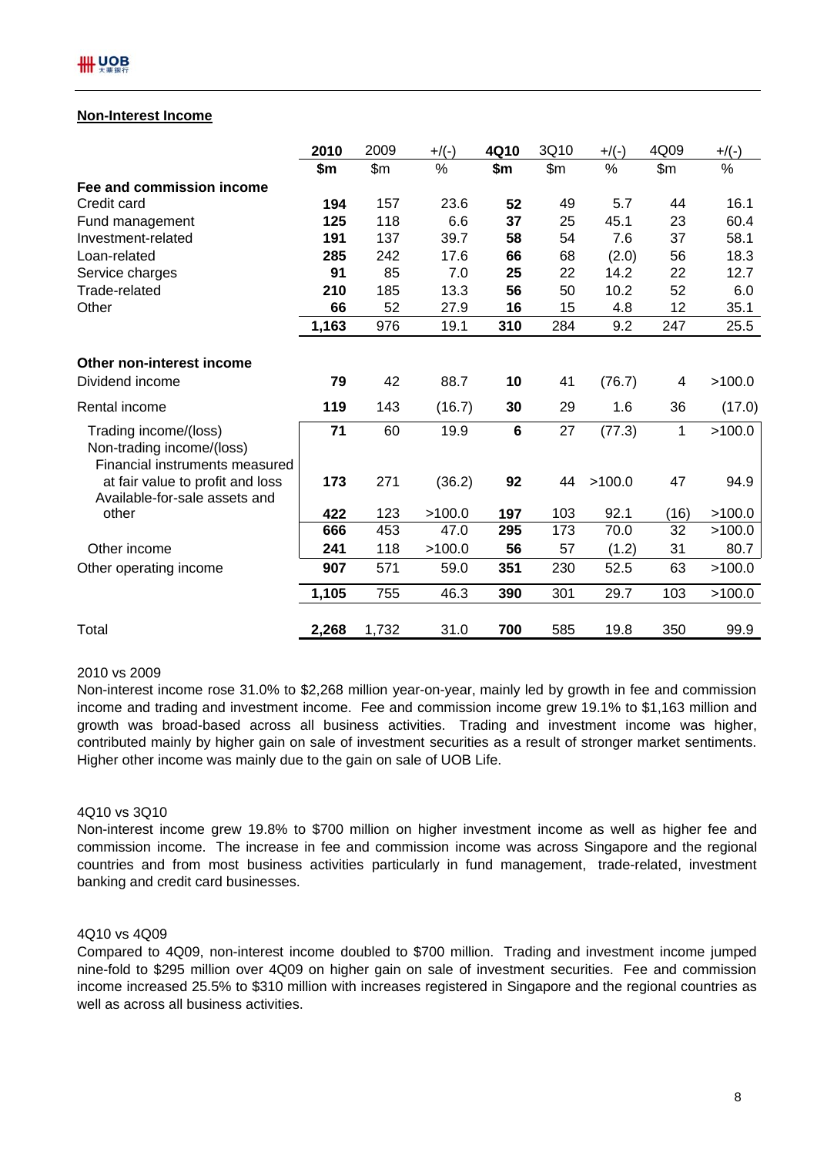# **Non-Interest Income**

|                                                                                      | 2010  | 2009  | $+$ /(-) | 4Q10            | 3Q10  | $+$ /(-) | 4Q09  | $+$ /(-) |
|--------------------------------------------------------------------------------------|-------|-------|----------|-----------------|-------|----------|-------|----------|
|                                                                                      | \$m   | \$m\$ | $\%$     | \$m             | \$m\$ | %        | \$m\$ | %        |
| Fee and commission income                                                            |       |       |          |                 |       |          |       |          |
| Credit card                                                                          | 194   | 157   | 23.6     | 52              | 49    | 5.7      | 44    | 16.1     |
| Fund management                                                                      | 125   | 118   | 6.6      | 37              | 25    | 45.1     | 23    | 60.4     |
| Investment-related                                                                   | 191   | 137   | 39.7     | 58              | 54    | 7.6      | 37    | 58.1     |
| Loan-related                                                                         | 285   | 242   | 17.6     | 66              | 68    | (2.0)    | 56    | 18.3     |
| Service charges                                                                      | 91    | 85    | 7.0      | 25              | 22    | 14.2     | 22    | 12.7     |
| Trade-related                                                                        | 210   | 185   | 13.3     | 56              | 50    | 10.2     | 52    | 6.0      |
| Other                                                                                | 66    | 52    | 27.9     | 16              | 15    | 4.8      | 12    | 35.1     |
|                                                                                      | 1,163 | 976   | 19.1     | 310             | 284   | 9.2      | 247   | 25.5     |
| Other non-interest income<br>Dividend income                                         | 79    | 42    | 88.7     | 10              | 41    | (76.7)   | 4     | >100.0   |
| Rental income                                                                        | 119   | 143   | (16.7)   | 30              | 29    | 1.6      | 36    | (17.0)   |
| Trading income/(loss)<br>Non-trading income/(loss)<br>Financial instruments measured | 71    | 60    | 19.9     | $6\phantom{1}6$ | 27    | (77.3)   | 1     | >100.0   |
| at fair value to profit and loss<br>Available-for-sale assets and                    | 173   | 271   | (36.2)   | 92              | 44    | >100.0   | 47    | 94.9     |
| other                                                                                | 422   | 123   | >100.0   | 197             | 103   | 92.1     | (16)  | >100.0   |
|                                                                                      | 666   | 453   | 47.0     | 295             | 173   | 70.0     | 32    | >100.0   |
| Other income                                                                         | 241   | 118   | >100.0   | 56              | 57    | (1.2)    | 31    | 80.7     |
| Other operating income                                                               | 907   | 571   | 59.0     | 351             | 230   | 52.5     | 63    | >100.0   |
|                                                                                      | 1,105 | 755   | 46.3     | 390             | 301   | 29.7     | 103   | >100.0   |
| Total                                                                                | 2,268 | 1,732 | 31.0     | 700             | 585   | 19.8     | 350   | 99.9     |

### 2010 vs 2009

Non-interest income rose 31.0% to \$2,268 million year-on-year, mainly led by growth in fee and commission income and trading and investment income. Fee and commission income grew 19.1% to \$1,163 million and growth was broad-based across all business activities. Trading and investment income was higher, contributed mainly by higher gain on sale of investment securities as a result of stronger market sentiments. Higher other income was mainly due to the gain on sale of UOB Life.

### 4Q10 vs 3Q10

Non-interest income grew 19.8% to \$700 million on higher investment income as well as higher fee and commission income. The increase in fee and commission income was across Singapore and the regional countries and from most business activities particularly in fund management, trade-related, investment banking and credit card businesses.

### 4Q10 vs 4Q09

Compared to 4Q09, non-interest income doubled to \$700 million. Trading and investment income jumped nine-fold to \$295 million over 4Q09 on higher gain on sale of investment securities. Fee and commission income increased 25.5% to \$310 million with increases registered in Singapore and the regional countries as well as across all business activities.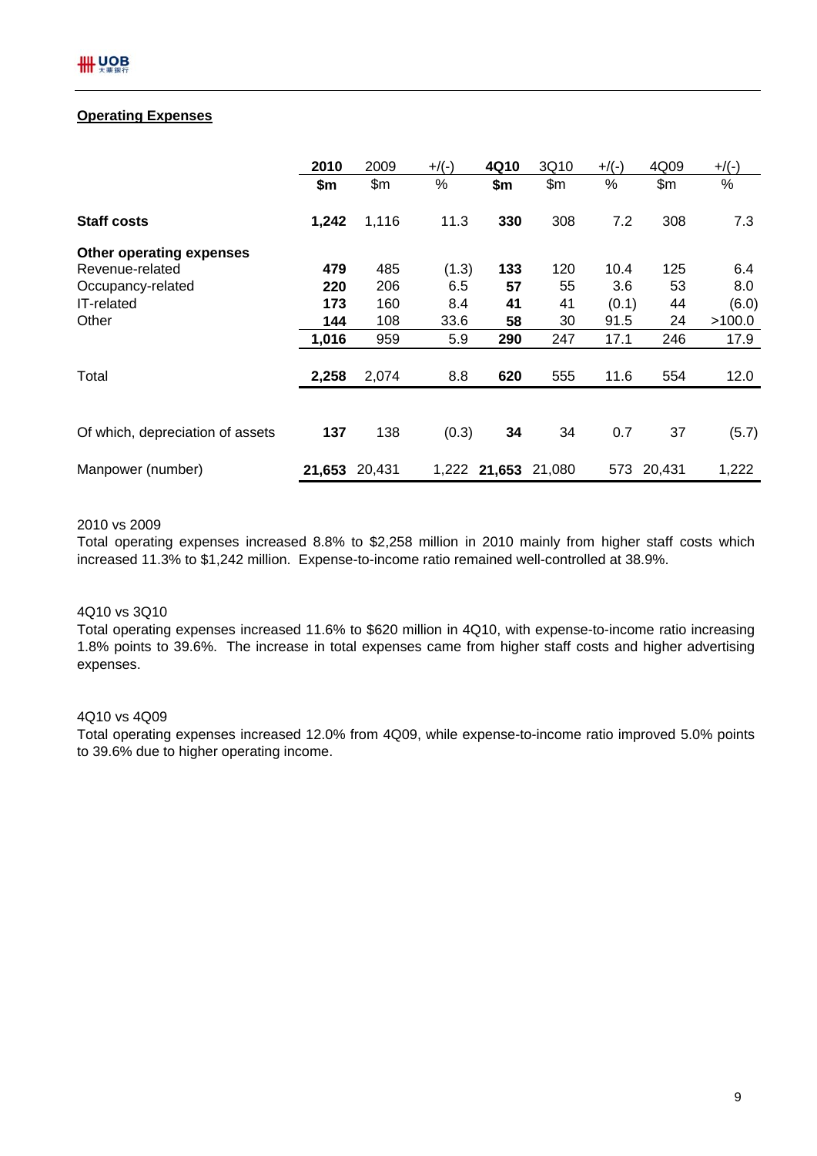# **Operating Expenses**

|                                  | 2010   | 2009   | $+$ /(-) | 4Q10         | 3Q10   | $+/(-)$ | 4Q09       | $+$ /(-) |
|----------------------------------|--------|--------|----------|--------------|--------|---------|------------|----------|
|                                  | \$m    | \$m\$  | $\%$     | \$m          | \$m\$  | $\%$    | \$m        | %        |
| <b>Staff costs</b>               | 1,242  | 1,116  | 11.3     | 330          | 308    | 7.2     | 308        | 7.3      |
| Other operating expenses         |        |        |          |              |        |         |            |          |
| Revenue-related                  | 479    | 485    | (1.3)    | 133          | 120    | 10.4    | 125        | 6.4      |
| Occupancy-related                | 220    | 206    | 6.5      | 57           | 55     | 3.6     | 53         | 8.0      |
| <b>IT-related</b>                | 173    | 160    | 8.4      | 41           | 41     | (0.1)   | 44         | (6.0)    |
| Other                            | 144    | 108    | 33.6     | 58           | 30     | 91.5    | 24         | >100.0   |
|                                  | 1,016  | 959    | 5.9      | 290          | 247    | 17.1    | 246        | 17.9     |
| Total                            | 2,258  | 2,074  | 8.8      | 620          | 555    | 11.6    | 554        | 12.0     |
|                                  |        |        |          |              |        |         |            |          |
| Of which, depreciation of assets | 137    | 138    | (0.3)    | 34           | 34     | 0.7     | 37         | (5.7)    |
| Manpower (number)                | 21,653 | 20,431 |          | 1,222 21,653 | 21,080 |         | 573 20,431 | 1,222    |

### 2010 vs 2009

Total operating expenses increased 8.8% to \$2,258 million in 2010 mainly from higher staff costs which increased 11.3% to \$1,242 million. Expense-to-income ratio remained well-controlled at 38.9%.

### 4Q10 vs 3Q10

Total operating expenses increased 11.6% to \$620 million in 4Q10, with expense-to-income ratio increasing 1.8% points to 39.6%. The increase in total expenses came from higher staff costs and higher advertising expenses.

### 4Q10 vs 4Q09

Total operating expenses increased 12.0% from 4Q09, while expense-to-income ratio improved 5.0% points to 39.6% due to higher operating income.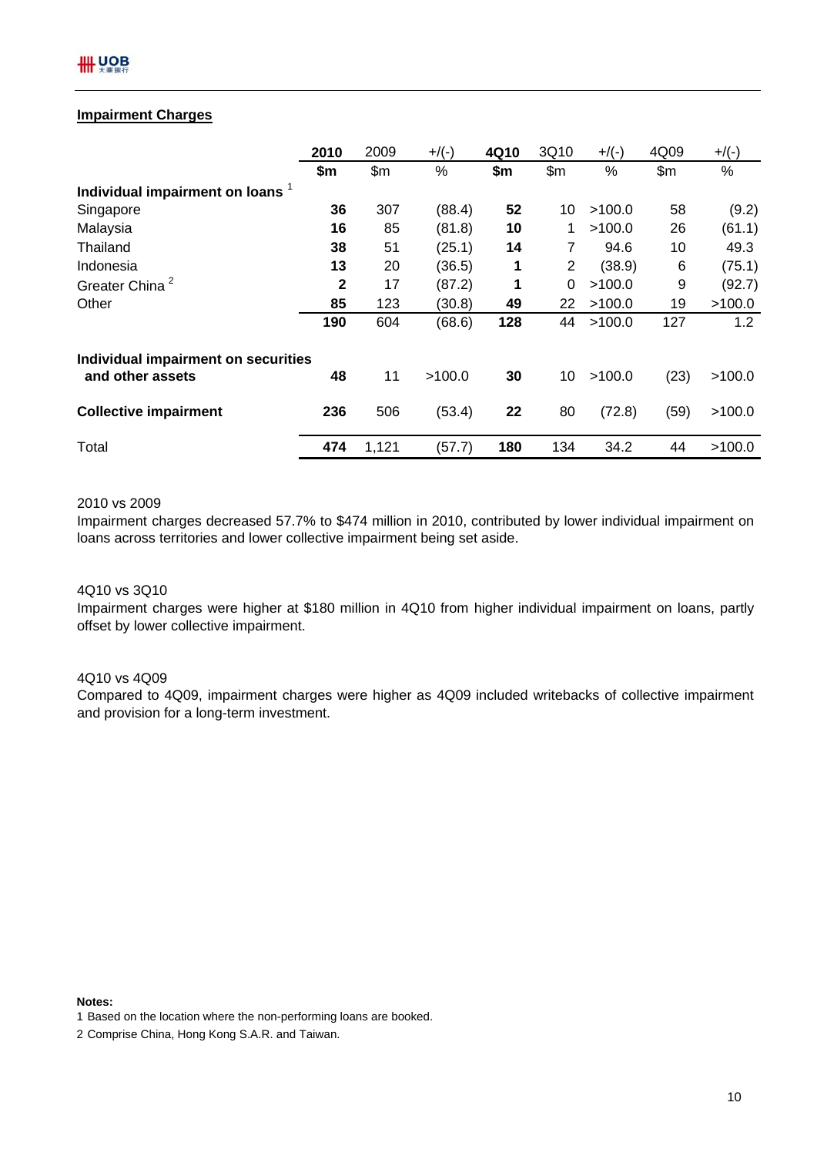# **Impairment Charges**

|                                             | 2010         | 2009  | $+$ /(-) | 4Q10  | 3Q10           | $+$ /(-) | 4Q09  | $+$ /(-) |
|---------------------------------------------|--------------|-------|----------|-------|----------------|----------|-------|----------|
|                                             | \$m\$        | \$m\$ | %        | \$m\$ | \$m\$          | %        | \$m\$ | $\%$     |
| Individual impairment on loans <sup>1</sup> |              |       |          |       |                |          |       |          |
| Singapore                                   | 36           | 307   | (88.4)   | 52    | 10             | >100.0   | 58    | (9.2)    |
| Malaysia                                    | 16           | 85    | (81.8)   | 10    | 1              | >100.0   | 26    | (61.1)   |
| Thailand                                    | 38           | 51    | (25.1)   | 14    | 7              | 94.6     | 10    | 49.3     |
| Indonesia                                   | 13           | 20    | (36.5)   | 1     | $\overline{2}$ | (38.9)   | 6     | (75.1)   |
| Greater China <sup>2</sup>                  | $\mathbf{2}$ | 17    | (87.2)   | 1     | $\Omega$       | >100.0   | 9     | (92.7)   |
| Other                                       | 85           | 123   | (30.8)   | 49    | 22             | >100.0   | 19    | >100.0   |
|                                             | 190          | 604   | (68.6)   | 128   | 44             | >100.0   | 127   | 1.2      |
| Individual impairment on securities         |              |       |          |       |                |          |       |          |
| and other assets                            | 48           | 11    | >100.0   | 30    | 10             | >100.0   | (23)  | >100.0   |
| <b>Collective impairment</b>                | 236          | 506   | (53.4)   | 22    | 80             | (72.8)   | (59)  | >100.0   |
| Total                                       | 474          | 1,121 | (57.7)   | 180   | 134            | 34.2     | 44    | >100.0   |

# 2010 vs 2009

Impairment charges decreased 57.7% to \$474 million in 2010, contributed by lower individual impairment on loans across territories and lower collective impairment being set aside.

### 4Q10 vs 3Q10

Impairment charges were higher at \$180 million in 4Q10 from higher individual impairment on loans, partly offset by lower collective impairment.

### 4Q10 vs 4Q09

Compared to 4Q09, impairment charges were higher as 4Q09 included writebacks of collective impairment and provision for a long-term investment.

**Notes:**

<sup>1</sup> Based on the location where the non-performing loans are booked.

<sup>2</sup> Comprise China, Hong Kong S.A.R. and Taiwan.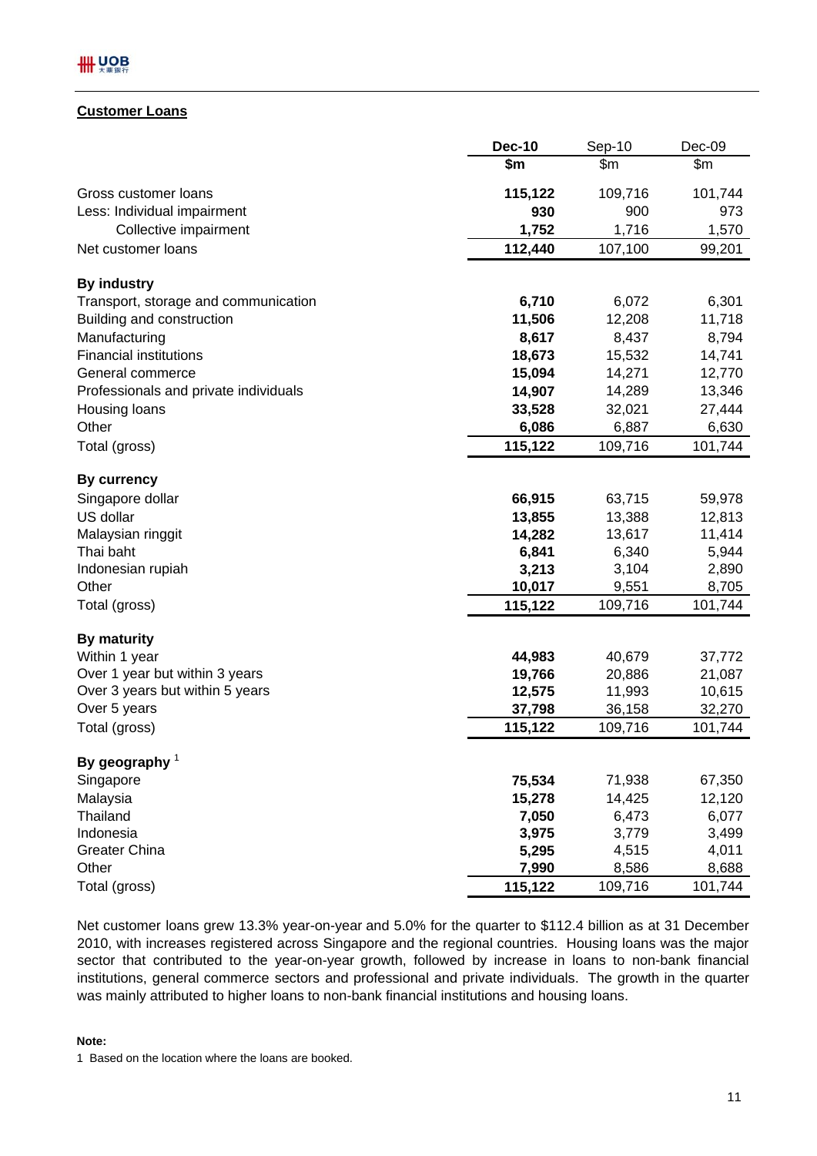# **Customer Loans**

|                                       | <b>Dec-10</b> | Sep-10  | Dec-09  |
|---------------------------------------|---------------|---------|---------|
|                                       | \$m           | \$m     | \$m     |
| Gross customer loans                  | 115,122       | 109,716 | 101,744 |
| Less: Individual impairment           | 930           | 900     | 973     |
| Collective impairment                 | 1,752         | 1,716   | 1,570   |
| Net customer loans                    | 112,440       | 107,100 | 99,201  |
| <b>By industry</b>                    |               |         |         |
| Transport, storage and communication  | 6,710         | 6,072   | 6,301   |
| Building and construction             | 11,506        | 12,208  | 11,718  |
| Manufacturing                         | 8,617         | 8,437   | 8,794   |
| <b>Financial institutions</b>         | 18,673        | 15,532  | 14,741  |
| General commerce                      | 15,094        | 14,271  | 12,770  |
| Professionals and private individuals | 14,907        | 14,289  | 13,346  |
| Housing loans                         | 33,528        | 32,021  | 27,444  |
| Other                                 | 6,086         | 6,887   | 6,630   |
| Total (gross)                         | 115,122       | 109,716 | 101,744 |
| <b>By currency</b>                    |               |         |         |
| Singapore dollar                      | 66,915        | 63,715  | 59,978  |
| US dollar                             | 13,855        | 13,388  | 12,813  |
| Malaysian ringgit                     | 14,282        | 13,617  | 11,414  |
| Thai baht                             | 6,841         | 6,340   | 5,944   |
| Indonesian rupiah                     | 3,213         | 3,104   | 2,890   |
| Other                                 | 10,017        | 9,551   | 8,705   |
| Total (gross)                         | 115,122       | 109,716 | 101,744 |
| <b>By maturity</b>                    |               |         |         |
| Within 1 year                         | 44,983        | 40,679  | 37,772  |
| Over 1 year but within 3 years        | 19,766        | 20,886  | 21,087  |
| Over 3 years but within 5 years       | 12,575        | 11,993  | 10,615  |
| Over 5 years                          | 37,798        | 36,158  | 32,270  |
| Total (gross)                         | 115,122       | 109,716 | 101,744 |
| By geography $1$                      |               |         |         |
| Singapore                             | 75,534        | 71,938  | 67,350  |
| Malaysia                              | 15,278        | 14,425  | 12,120  |
| Thailand                              | 7,050         | 6,473   | 6,077   |
| Indonesia                             | 3,975         | 3,779   | 3,499   |
| Greater China                         | 5,295         | 4,515   | 4,011   |
| Other                                 | 7,990         | 8,586   | 8,688   |
| Total (gross)                         | 115,122       | 109,716 | 101,744 |

Net customer loans grew 13.3% year-on-year and 5.0% for the quarter to \$112.4 billion as at 31 December 2010, with increases registered across Singapore and the regional countries. Housing loans was the major sector that contributed to the year-on-year growth, followed by increase in loans to non-bank financial institutions, general commerce sectors and professional and private individuals. The growth in the quarter was mainly attributed to higher loans to non-bank financial institutions and housing loans.

#### **Note:**

1 Based on the location where the loans are booked.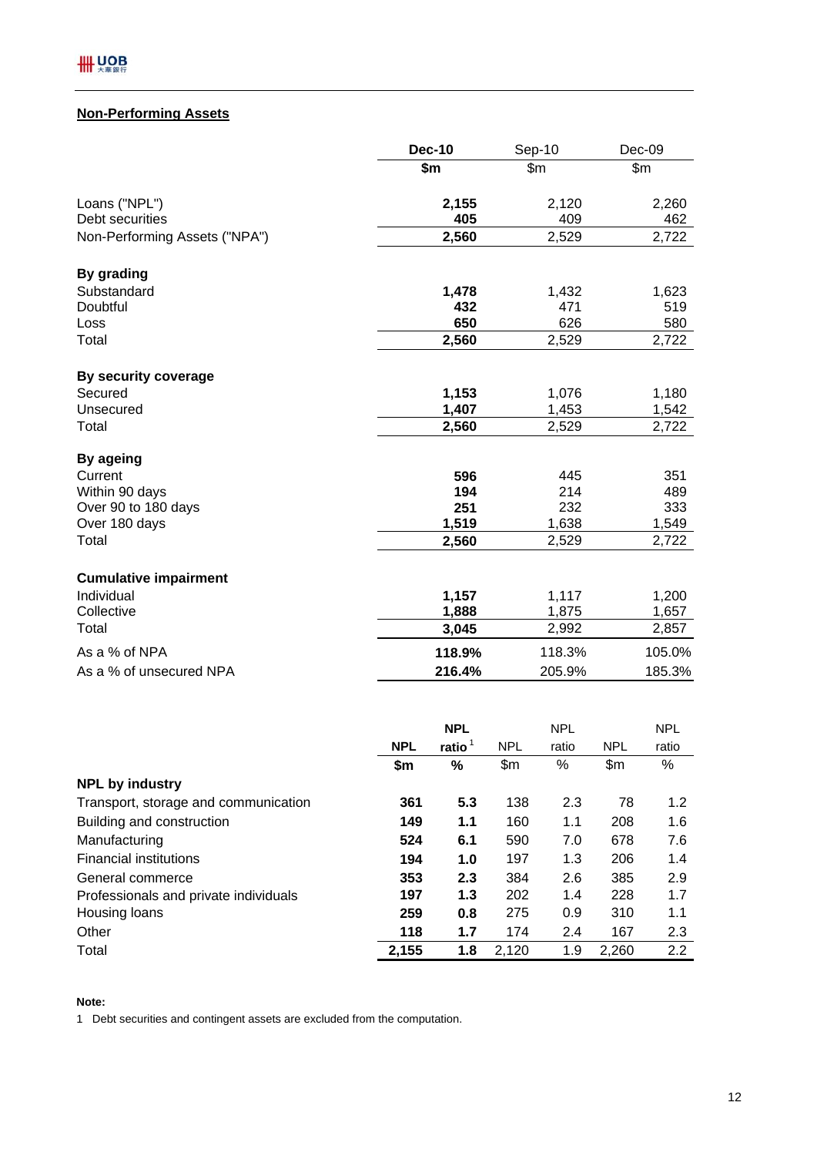# **Non-Performing Assets**

| Loans ("NPL")<br>Debt securities | \$m    | \$m\$  | \$m\$  |
|----------------------------------|--------|--------|--------|
|                                  |        |        |        |
|                                  | 2,155  | 2,120  | 2,260  |
|                                  | 405    | 409    | 462    |
| Non-Performing Assets ("NPA")    | 2,560  | 2,529  | 2,722  |
| <b>By grading</b>                |        |        |        |
| Substandard                      | 1,478  | 1,432  | 1,623  |
| Doubtful                         | 432    | 471    | 519    |
| Loss                             | 650    | 626    | 580    |
| Total                            | 2,560  | 2,529  | 2,722  |
| By security coverage             |        |        |        |
| Secured                          | 1,153  | 1,076  | 1,180  |
| Unsecured                        | 1,407  | 1,453  | 1,542  |
| Total                            | 2,560  | 2,529  | 2,722  |
| <b>By ageing</b>                 |        |        |        |
| Current                          | 596    | 445    | 351    |
| Within 90 days                   | 194    | 214    | 489    |
| Over 90 to 180 days              | 251    | 232    | 333    |
| Over 180 days                    | 1,519  | 1,638  | 1,549  |
| Total                            | 2,560  | 2,529  | 2,722  |
| <b>Cumulative impairment</b>     |        |        |        |
| Individual                       | 1,157  | 1,117  | 1,200  |
| Collective                       | 1,888  | 1,875  | 1,657  |
| Total                            | 3,045  | 2,992  | 2,857  |
| As a % of NPA                    | 118.9% | 118.3% | 105.0% |
| As a % of unsecured NPA          | 216.4% | 205.9% | 185.3% |

|                                       |            | <b>NPL</b> |            | <b>NPL</b> |            | <b>NPL</b> |
|---------------------------------------|------------|------------|------------|------------|------------|------------|
|                                       | <b>NPL</b> | ratio      | <b>NPL</b> | ratio      | <b>NPL</b> | ratio      |
|                                       | \$m\$      | $\%$       | \$m\$      | $\%$       | \$m\$      | $\%$       |
| <b>NPL by industry</b>                |            |            |            |            |            |            |
| Transport, storage and communication  | 361        | 5.3        | 138        | 2.3        | 78         | 1.2        |
| Building and construction             | 149        | 1.1        | 160        | 1.1        | 208        | 1.6        |
| Manufacturing                         | 524        | 6.1        | 590        | 7.0        | 678        | 7.6        |
| <b>Financial institutions</b>         | 194        | 1.0        | 197        | 1.3        | 206        | 1.4        |
| General commerce                      | 353        | 2.3        | 384        | 2.6        | 385        | 2.9        |
| Professionals and private individuals | 197        | 1.3        | 202        | 1.4        | 228        | 1.7        |
| Housing loans                         | 259        | 0.8        | 275        | 0.9        | 310        | 1.1        |
| Other                                 | 118        | 1.7        | 174        | 2.4        | 167        | 2.3        |
| Total                                 | 2,155      | 1.8        | 2,120      | 1.9        | 2,260      | 2.2        |

**Note:**

1 Debt securities and contingent assets are excluded from the computation.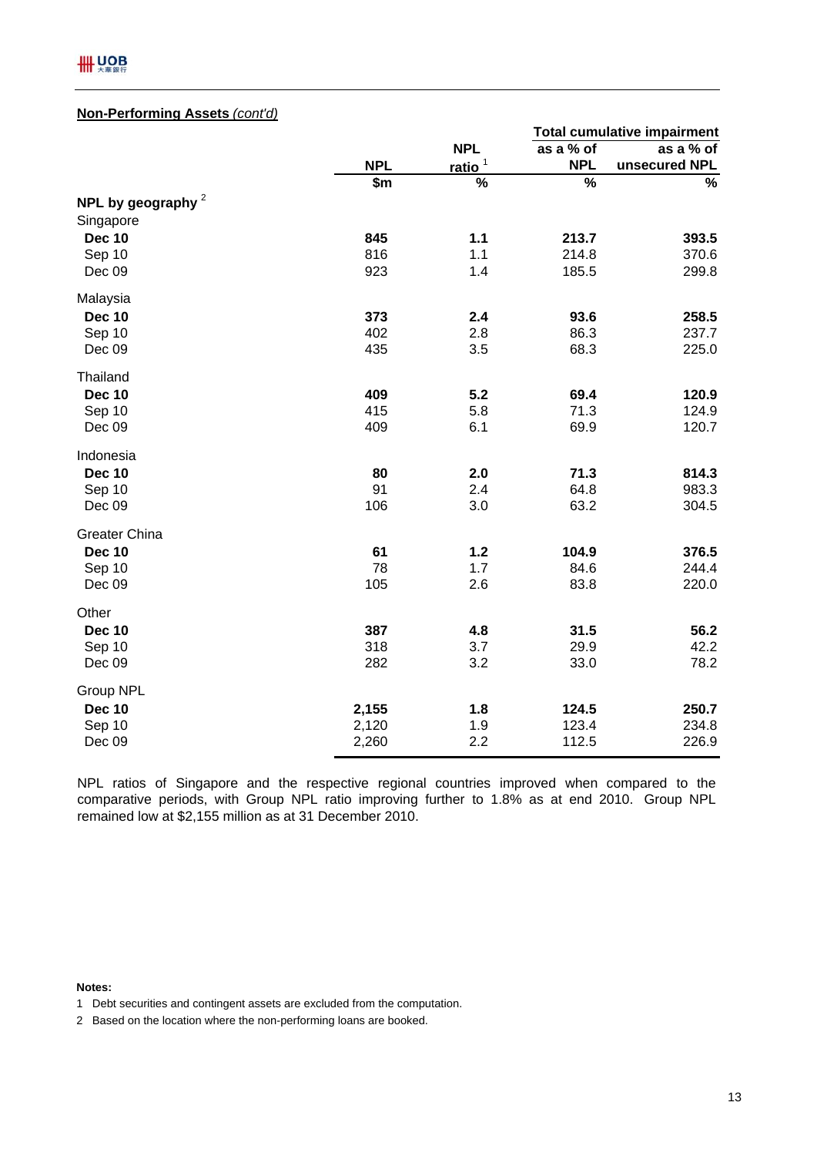# **Non-Performing Assets** *(cont'd)*

|                      |            | <b>Total cumulative impairment</b> |            |               |  |
|----------------------|------------|------------------------------------|------------|---------------|--|
|                      |            | <b>NPL</b>                         | as a % of  | as a % of     |  |
|                      | <b>NPL</b> | ratio <sup>1</sup>                 | <b>NPL</b> | unsecured NPL |  |
|                      | \$m        | $\%$                               | $\%$       | $\%$          |  |
| NPL by geography $2$ |            |                                    |            |               |  |
| Singapore            |            |                                    |            |               |  |
| <b>Dec 10</b>        | 845        | 1.1                                | 213.7      | 393.5         |  |
| Sep 10               | 816        | 1.1                                | 214.8      | 370.6         |  |
| Dec 09               | 923        | 1.4                                | 185.5      | 299.8         |  |
| Malaysia             |            |                                    |            |               |  |
| <b>Dec 10</b>        | 373        | 2.4                                | 93.6       | 258.5         |  |
| Sep 10               | 402        | 2.8                                | 86.3       | 237.7         |  |
| Dec 09               | 435        | 3.5                                | 68.3       | 225.0         |  |
| Thailand             |            |                                    |            |               |  |
| <b>Dec 10</b>        | 409        | 5.2                                | 69.4       | 120.9         |  |
| Sep 10               | 415        | 5.8                                | 71.3       | 124.9         |  |
| Dec 09               | 409        | 6.1                                | 69.9       | 120.7         |  |
| Indonesia            |            |                                    |            |               |  |
| <b>Dec 10</b>        | 80         | 2.0                                | 71.3       | 814.3         |  |
| Sep 10               | 91         | 2.4                                | 64.8       | 983.3         |  |
| Dec 09               | 106        | 3.0                                | 63.2       | 304.5         |  |
| <b>Greater China</b> |            |                                    |            |               |  |
| <b>Dec 10</b>        | 61         | 1.2                                | 104.9      | 376.5         |  |
| Sep 10               | 78         | 1.7                                | 84.6       | 244.4         |  |
| Dec 09               | 105        | 2.6                                | 83.8       | 220.0         |  |
| Other                |            |                                    |            |               |  |
| <b>Dec 10</b>        | 387        | 4.8                                | 31.5       | 56.2          |  |
| Sep 10               | 318        | 3.7                                | 29.9       | 42.2          |  |
| Dec 09               | 282        | 3.2                                | 33.0       | 78.2          |  |
| Group NPL            |            |                                    |            |               |  |
| <b>Dec 10</b>        | 2,155      | 1.8                                | 124.5      | 250.7         |  |
| Sep 10               | 2,120      | 1.9                                | 123.4      | 234.8         |  |
| Dec 09               | 2,260      | 2.2                                | 112.5      | 226.9         |  |

NPL ratios of Singapore and the respective regional countries improved when compared to the comparative periods, with Group NPL ratio improving further to 1.8% as at end 2010. Group NPL remained low at \$2,155 million as at 31 December 2010.

**Notes:**

1 Debt securities and contingent assets are excluded from the computation.

2 Based on the location where the non-performing loans are booked.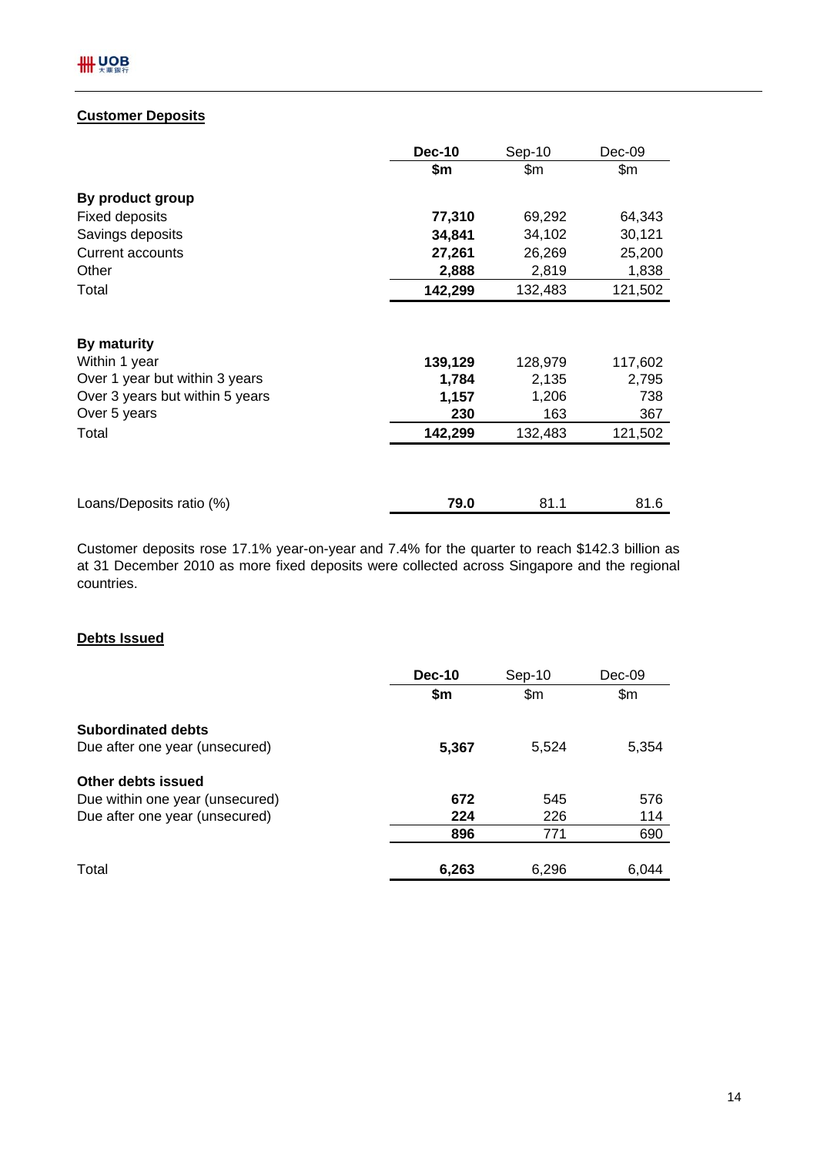# **Customer Deposits**

|                                                                                                                            | <b>Dec-10</b>                               | Sep-10                                      | Dec-09                                    |
|----------------------------------------------------------------------------------------------------------------------------|---------------------------------------------|---------------------------------------------|-------------------------------------------|
|                                                                                                                            | \$m                                         | \$m                                         | \$m\$                                     |
| By product group                                                                                                           |                                             |                                             |                                           |
| <b>Fixed deposits</b>                                                                                                      | 77,310                                      | 69,292                                      | 64,343                                    |
| Savings deposits                                                                                                           | 34,841                                      | 34,102                                      | 30,121                                    |
| Current accounts                                                                                                           | 27,261                                      | 26,269                                      | 25,200                                    |
| Other                                                                                                                      | 2,888                                       | 2,819                                       | 1,838                                     |
| Total                                                                                                                      | 142,299                                     | 132,483                                     | 121,502                                   |
| By maturity<br>Within 1 year<br>Over 1 year but within 3 years<br>Over 3 years but within 5 years<br>Over 5 years<br>Total | 139,129<br>1,784<br>1,157<br>230<br>142,299 | 128,979<br>2,135<br>1,206<br>163<br>132,483 | 117,602<br>2,795<br>738<br>367<br>121,502 |
|                                                                                                                            |                                             |                                             |                                           |
|                                                                                                                            |                                             |                                             |                                           |
| Loans/Deposits ratio (%)                                                                                                   | 79.0                                        | 81.1                                        | 81.6                                      |

Customer deposits rose 17.1% year-on-year and 7.4% for the quarter to reach \$142.3 billion as at 31 December 2010 as more fixed deposits were collected across Singapore and the regional countries.

# **Debts Issued**

|                                 | <b>Dec-10</b> | Sep-10         | Dec-09 |
|---------------------------------|---------------|----------------|--------|
|                                 | \$m\$         | $\mathsf{S}$ m | \$m\$  |
| <b>Subordinated debts</b>       |               |                |        |
| Due after one year (unsecured)  | 5,367         | 5,524          | 5,354  |
| Other debts issued              |               |                |        |
| Due within one year (unsecured) | 672           | 545            | 576    |
| Due after one year (unsecured)  | 224           | 226            | 114    |
|                                 | 896           | 771            | 690    |
| Total                           | 6,263         | 6,296          | 6,044  |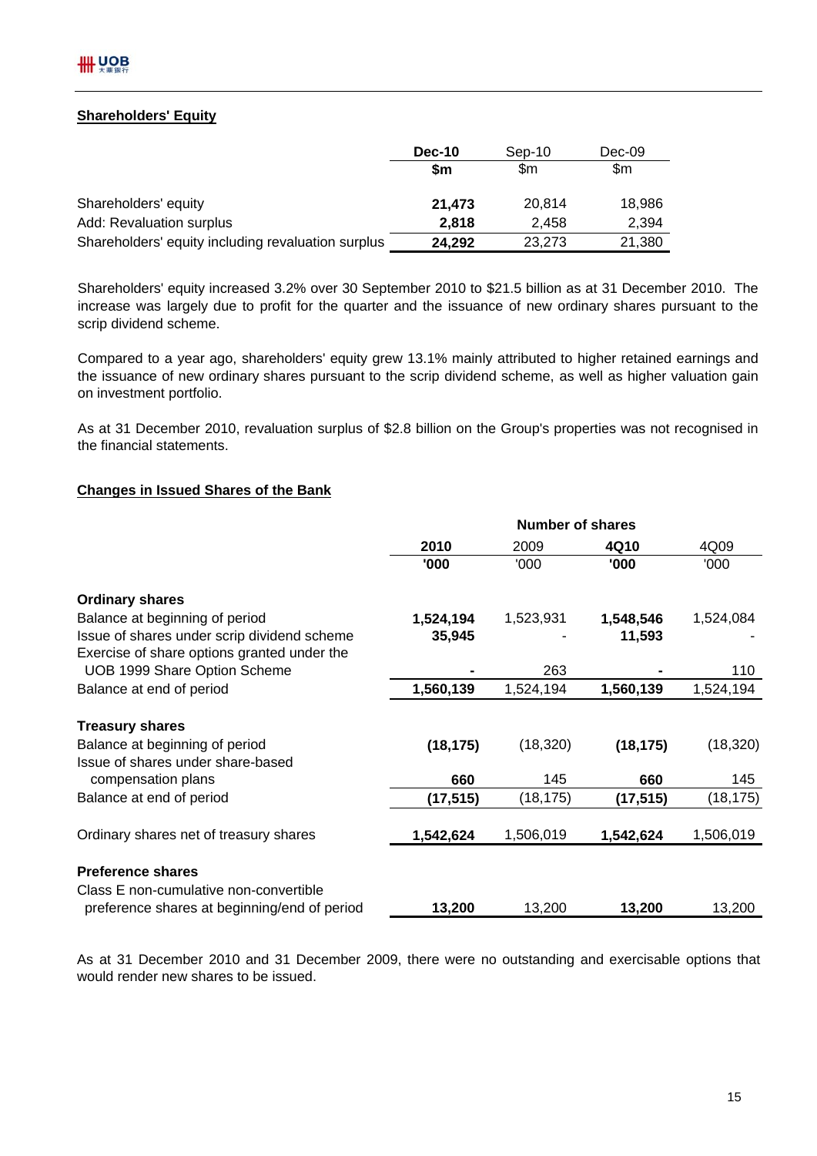# **Shareholders' Equity**

|                                                    | <b>Dec-10</b><br>Sep-10 |        | $Dec-09$ |
|----------------------------------------------------|-------------------------|--------|----------|
|                                                    | \$m                     | \$m    | \$m      |
| Shareholders' equity                               | 21,473                  | 20.814 | 18,986   |
| Add: Revaluation surplus                           | 2.818                   | 2.458  | 2,394    |
| Shareholders' equity including revaluation surplus | 24.292                  | 23,273 | 21,380   |

Shareholders' equity increased 3.2% over 30 September 2010 to \$21.5 billion as at 31 December 2010. The increase was largely due to profit for the quarter and the issuance of new ordinary shares pursuant to the scrip dividend scheme.

Compared to a year ago, shareholders' equity grew 13.1% mainly attributed to higher retained earnings and the issuance of new ordinary shares pursuant to the scrip dividend scheme, as well as higher valuation gain on investment portfolio.

As at 31 December 2010, revaluation surplus of \$2.8 billion on the Group's properties was not recognised in the financial statements.

# **Changes in Issued Shares of the Bank**

|                                                                                            | <b>Number of shares</b> |           |           |           |  |
|--------------------------------------------------------------------------------------------|-------------------------|-----------|-----------|-----------|--|
|                                                                                            | 2010                    | 2009      | 4Q10      | 4Q09      |  |
|                                                                                            | '000                    | '000      | '000      | '000      |  |
| <b>Ordinary shares</b>                                                                     |                         |           |           |           |  |
| Balance at beginning of period                                                             | 1,524,194               | 1,523,931 | 1,548,546 | 1,524,084 |  |
| Issue of shares under scrip dividend scheme<br>Exercise of share options granted under the | 35,945                  |           | 11,593    |           |  |
| UOB 1999 Share Option Scheme                                                               |                         | 263       |           | 110       |  |
| Balance at end of period                                                                   | 1,560,139               | 1,524,194 | 1,560,139 | 1,524,194 |  |
| <b>Treasury shares</b>                                                                     |                         |           |           |           |  |
| Balance at beginning of period                                                             | (18, 175)               | (18, 320) | (18, 175) | (18, 320) |  |
| Issue of shares under share-based                                                          |                         |           |           |           |  |
| compensation plans                                                                         | 660                     | 145       | 660       | 145       |  |
| Balance at end of period                                                                   | (17, 515)               | (18,175)  | (17, 515) | (18, 175) |  |
| Ordinary shares net of treasury shares                                                     | 1,542,624               | 1,506,019 | 1,542,624 | 1,506,019 |  |
| <b>Preference shares</b>                                                                   |                         |           |           |           |  |
| Class E non-cumulative non-convertible                                                     |                         |           |           |           |  |
| preference shares at beginning/end of period                                               | 13,200                  | 13,200    | 13,200    | 13,200    |  |

As at 31 December 2010 and 31 December 2009, there were no outstanding and exercisable options that would render new shares to be issued.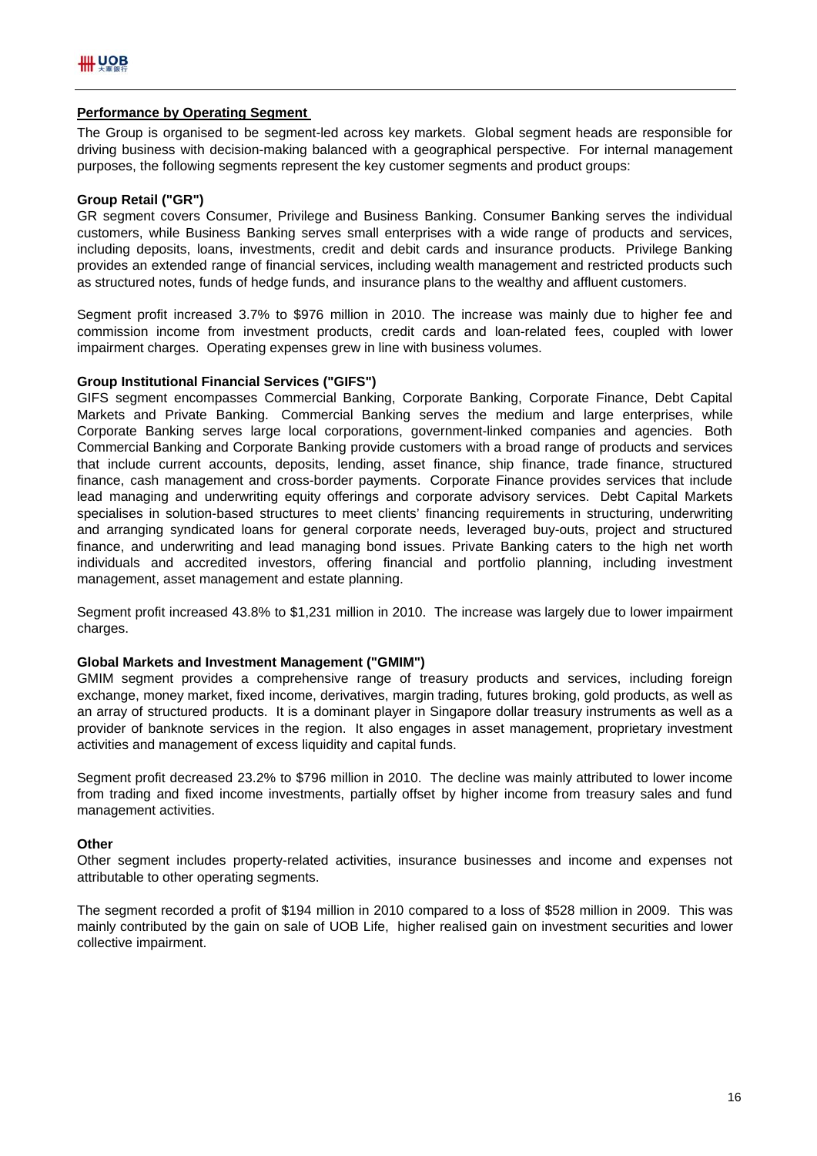### **Performance by Operating Segment**

The Group is organised to be segment-led across key markets. Global segment heads are responsible for driving business with decision-making balanced with a geographical perspective. For internal management purposes, the following segments represent the key customer segments and product groups:

### **Group Retail ("GR")**

GR segment covers Consumer, Privilege and Business Banking. Consumer Banking serves the individual customers, while Business Banking serves small enterprises with a wide range of products and services, including deposits, loans, investments, credit and debit cards and insurance products. Privilege Banking provides an extended range of financial services, including wealth management and restricted products such as structured notes, funds of hedge funds, and insurance plans to the wealthy and affluent customers.

Segment profit increased 3.7% to \$976 million in 2010. The increase was mainly due to higher fee and commission income from investment products, credit cards and loan-related fees, coupled with lower impairment charges. Operating expenses grew in line with business volumes.

### **Group Institutional Financial Services ("GIFS")**

GIFS segment encompasses Commercial Banking, Corporate Banking, Corporate Finance, Debt Capital Markets and Private Banking. Commercial Banking serves the medium and large enterprises, while Corporate Banking serves large local corporations, government-linked companies and agencies. Both Commercial Banking and Corporate Banking provide customers with a broad range of products and services that include current accounts, deposits, lending, asset finance, ship finance, trade finance, structured finance, cash management and cross-border payments. Corporate Finance provides services that include lead managing and underwriting equity offerings and corporate advisory services. Debt Capital Markets specialises in solution-based structures to meet clients' financing requirements in structuring, underwriting and arranging syndicated loans for general corporate needs, leveraged buy-outs, project and structured finance, and underwriting and lead managing bond issues. Private Banking caters to the high net worth individuals and accredited investors, offering financial and portfolio planning, including investment management, asset management and estate planning.

Segment profit increased 43.8% to \$1,231 million in 2010. The increase was largely due to lower impairment charges.

### **Global Markets and Investment Management ("GMIM")**

GMIM segment provides a comprehensive range of treasury products and services, including foreign exchange, money market, fixed income, derivatives, margin trading, futures broking, gold products, as well as an array of structured products. It is a dominant player in Singapore dollar treasury instruments as well as a provider of banknote services in the region. It also engages in asset management, proprietary investment activities and management of excess liquidity and capital funds.

Segment profit decreased 23.2% to \$796 million in 2010. The decline was mainly attributed to lower income from trading and fixed income investments, partially offset by higher income from treasury sales and fund management activities.

### **Other**

Other segment includes property-related activities, insurance businesses and income and expenses not attributable to other operating segments.

The segment recorded a profit of \$194 million in 2010 compared to a loss of \$528 million in 2009. This was mainly contributed by the gain on sale of UOB Life, higher realised gain on investment securities and lower collective impairment.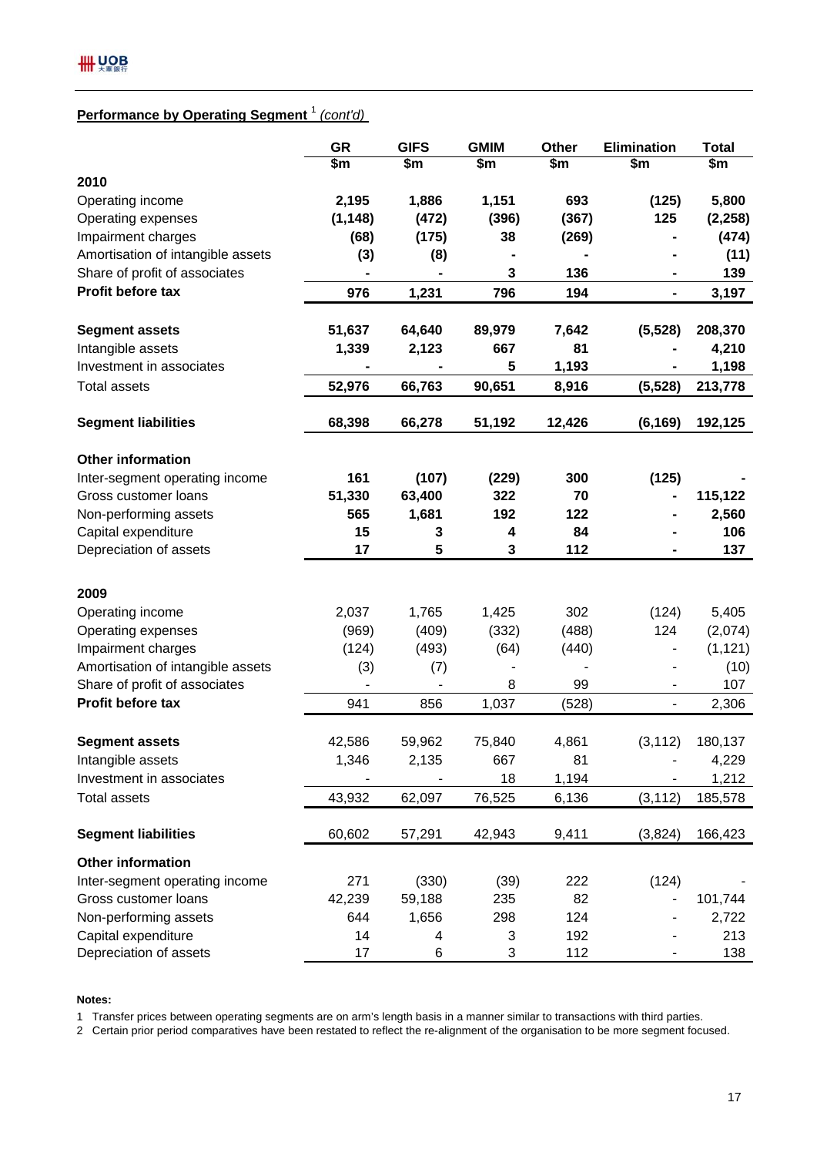# **Performance by Operating Segment** <sup>1</sup> *(cont'd)*

|                                   | <b>GR</b>      | <b>GIFS</b>              | <b>GMIM</b> | Other  | <b>Elimination</b>       | <b>Total</b> |
|-----------------------------------|----------------|--------------------------|-------------|--------|--------------------------|--------------|
|                                   | \$m            | \$m                      | \$m         | \$m    | \$m                      | \$m          |
| 2010                              |                |                          |             |        |                          |              |
| Operating income                  | 2,195          | 1,886                    | 1,151       | 693    | (125)                    | 5,800        |
| Operating expenses                | (1, 148)       | (472)                    | (396)       | (367)  | 125                      | (2, 258)     |
| Impairment charges                | (68)           | (175)                    | 38          | (269)  |                          | (474)        |
| Amortisation of intangible assets | (3)            | (8)                      |             |        |                          | (11)         |
| Share of profit of associates     | $\blacksquare$ |                          | 3           | 136    | ۰                        | 139          |
| Profit before tax                 | 976            | 1,231                    | 796         | 194    | Ξ,                       | 3,197        |
| <b>Segment assets</b>             | 51,637         | 64,640                   | 89,979      | 7,642  | (5, 528)                 | 208,370      |
| Intangible assets                 | 1,339          | 2,123                    | 667         | 81     |                          | 4,210        |
| Investment in associates          |                |                          | 5           | 1,193  |                          | 1,198        |
| <b>Total assets</b>               | 52,976         | 66,763                   | 90,651      | 8,916  | (5, 528)                 | 213,778      |
| <b>Segment liabilities</b>        | 68,398         | 66,278                   | 51,192      | 12,426 | (6, 169)                 | 192,125      |
| <b>Other information</b>          |                |                          |             |        |                          |              |
| Inter-segment operating income    | 161            | (107)                    | (229)       | 300    | (125)                    |              |
| Gross customer loans              | 51,330         | 63,400                   | 322         | 70     |                          | 115,122      |
| Non-performing assets             | 565            | 1,681                    | 192         | 122    |                          | 2,560        |
| Capital expenditure               | 15             | 3                        | 4           | 84     |                          | 106          |
| Depreciation of assets            | 17             | 5                        | 3           | 112    |                          | 137          |
| 2009                              |                |                          |             |        |                          |              |
| Operating income                  | 2,037          | 1,765                    | 1,425       | 302    | (124)                    | 5,405        |
| Operating expenses                | (969)          | (409)                    | (332)       | (488)  | 124                      | (2,074)      |
| Impairment charges                | (124)          | (493)                    | (64)        | (440)  | -                        | (1, 121)     |
| Amortisation of intangible assets | (3)            | (7)                      |             |        |                          | (10)         |
| Share of profit of associates     |                | $\overline{\phantom{0}}$ | 8           | 99     | $\blacksquare$           | 107          |
| Profit before tax                 | 941            | 856                      | 1,037       | (528)  | $\overline{\phantom{0}}$ | 2,306        |
| <b>Segment assets</b>             | 42,586         | 59,962                   | 75,840      | 4,861  | (3, 112)                 | 180,137      |
| Intangible assets                 | 1,346          | 2,135                    | 667         | 81     |                          | 4,229        |
| Investment in associates          |                |                          | 18          | 1,194  |                          | 1,212        |
| <b>Total assets</b>               | 43,932         | 62,097                   | 76,525      | 6,136  | (3, 112)                 | 185,578      |
| <b>Segment liabilities</b>        | 60,602         | 57,291                   | 42,943      | 9,411  | (3,824)                  | 166,423      |
| Other information                 |                |                          |             |        |                          |              |
| Inter-segment operating income    | 271            | (330)                    | (39)        | 222    | (124)                    |              |
| Gross customer loans              | 42,239         | 59,188                   | 235         | 82     |                          | 101,744      |
| Non-performing assets             | 644            | 1,656                    | 298         | 124    |                          | 2,722        |
| Capital expenditure               | 14             | 4                        | 3           | 192    |                          | 213          |
| Depreciation of assets            | 17             | $\,6$                    | 3           | 112    | $\blacksquare$           | 138          |

# **Notes:**

1 Transfer prices between operating segments are on arm's length basis in a manner similar to transactions with third parties.

2 Certain prior period comparatives have been restated to reflect the re-alignment of the organisation to be more segment focused.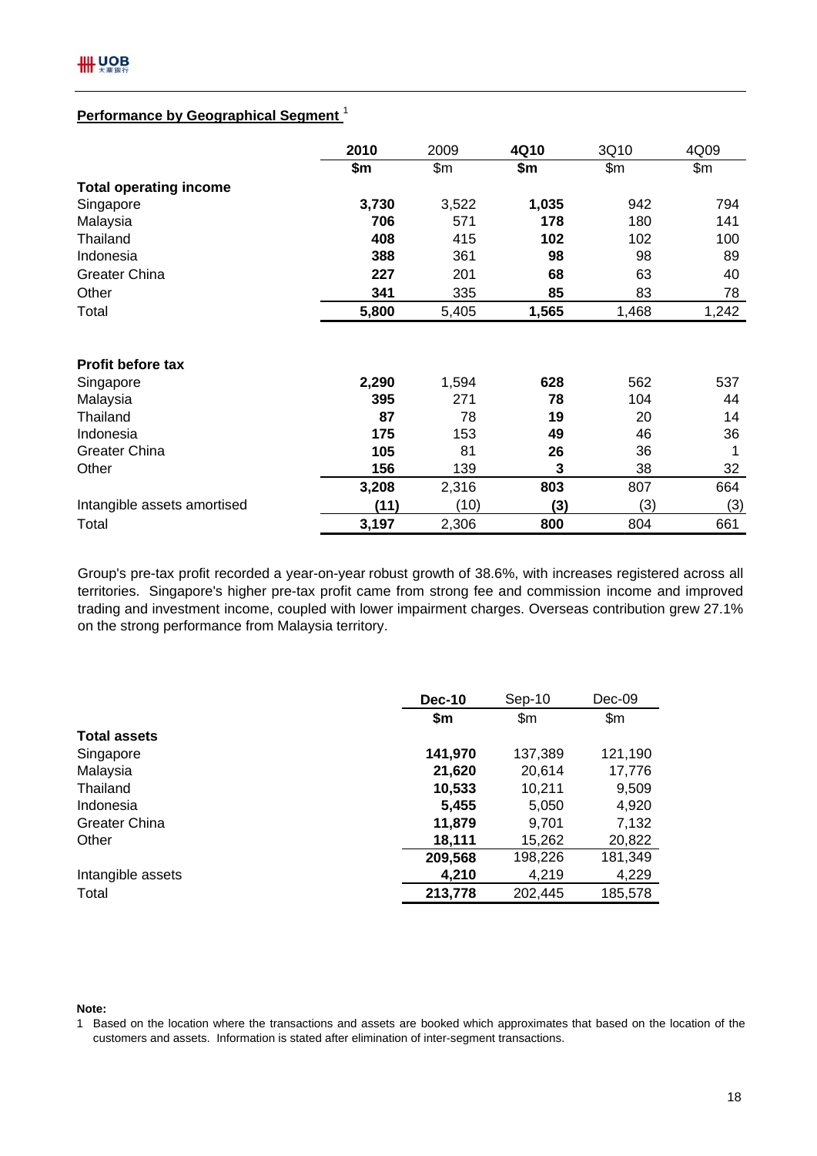# **Performance by Geographical Segment** <sup>1</sup>

|                               | 2010  | 2009  | 4Q10  | 3Q10  | 4Q09  |
|-------------------------------|-------|-------|-------|-------|-------|
|                               | \$m   | \$m\$ | \$m   | \$m\$ | \$m   |
| <b>Total operating income</b> |       |       |       |       |       |
| Singapore                     | 3,730 | 3,522 | 1,035 | 942   | 794   |
| Malaysia                      | 706   | 571   | 178   | 180   | 141   |
| Thailand                      | 408   | 415   | 102   | 102   | 100   |
| Indonesia                     | 388   | 361   | 98    | 98    | 89    |
| <b>Greater China</b>          | 227   | 201   | 68    | 63    | 40    |
| Other                         | 341   | 335   | 85    | 83    | 78    |
| Total                         | 5,800 | 5,405 | 1,565 | 1,468 | 1,242 |
|                               |       |       |       |       |       |
| <b>Profit before tax</b>      |       |       |       |       |       |
| Singapore                     | 2,290 | 1,594 | 628   | 562   | 537   |
| Malaysia                      | 395   | 271   | 78    | 104   | 44    |
| Thailand                      | 87    | 78    | 19    | 20    | 14    |
| Indonesia                     | 175   | 153   | 49    | 46    | 36    |
| <b>Greater China</b>          | 105   | 81    | 26    | 36    |       |
| Other                         | 156   | 139   | 3     | 38    | 32    |
|                               | 3,208 | 2,316 | 803   | 807   | 664   |
| Intangible assets amortised   | (11)  | (10)  | (3)   | (3)   | (3)   |
| Total                         | 3,197 | 2,306 | 800   | 804   | 661   |

Group's pre-tax profit recorded a year-on-year robust growth of 38.6%, with increases registered across all territories. Singapore's higher pre-tax profit came from strong fee and commission income and improved trading and investment income, coupled with lower impairment charges. Overseas contribution grew 27.1% on the strong performance from Malaysia territory.

|                     | <b>Dec-10</b> | Sep-10  | Dec-09  |
|---------------------|---------------|---------|---------|
|                     | \$m           | \$m\$   | \$m\$   |
| <b>Total assets</b> |               |         |         |
| Singapore           | 141,970       | 137,389 | 121,190 |
| Malaysia            | 21,620        | 20,614  | 17,776  |
| Thailand            | 10,533        | 10,211  | 9,509   |
| Indonesia           | 5,455         | 5,050   | 4,920   |
| Greater China       | 11,879        | 9,701   | 7,132   |
| Other               | 18,111        | 15,262  | 20,822  |
|                     | 209,568       | 198,226 | 181,349 |
| Intangible assets   | 4,210         | 4,219   | 4,229   |
| Total               | 213,778       | 202,445 | 185,578 |

#### **Note:**

1 Based on the location where the transactions and assets are booked which approximates that based on the location of the customers and assets. Information is stated after elimination of inter-segment transactions.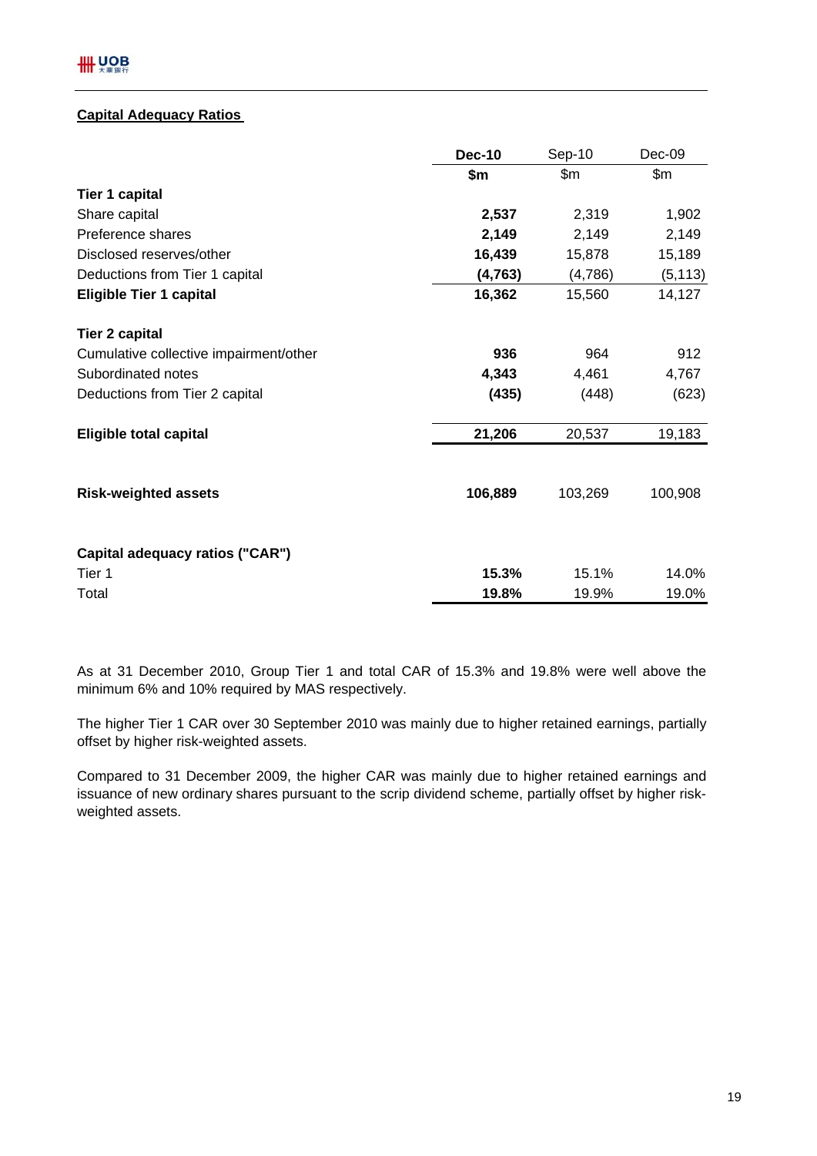# **Capital Adequacy Ratios**

|                                        | <b>Dec-10</b> | Sep-10  | $Dec-09$ |
|----------------------------------------|---------------|---------|----------|
|                                        | \$m           | \$m\$   | \$m\$    |
| <b>Tier 1 capital</b>                  |               |         |          |
| Share capital                          | 2,537         | 2,319   | 1,902    |
| Preference shares                      | 2,149         | 2,149   | 2,149    |
| Disclosed reserves/other               | 16,439        | 15,878  | 15,189   |
| Deductions from Tier 1 capital         | (4, 763)      | (4,786) | (5, 113) |
| <b>Eligible Tier 1 capital</b>         | 16,362        | 15,560  | 14,127   |
| <b>Tier 2 capital</b>                  |               |         |          |
| Cumulative collective impairment/other | 936           | 964     | 912      |
| Subordinated notes                     | 4,343         | 4,461   | 4,767    |
| Deductions from Tier 2 capital         | (435)         | (448)   | (623)    |
| <b>Eligible total capital</b>          | 21,206        | 20,537  | 19,183   |
| <b>Risk-weighted assets</b>            | 106,889       | 103,269 | 100,908  |
| Capital adequacy ratios ("CAR")        |               |         |          |
| Tier 1                                 | 15.3%         | 15.1%   | 14.0%    |
| Total                                  | 19.8%         | 19.9%   | 19.0%    |

As at 31 December 2010, Group Tier 1 and total CAR of 15.3% and 19.8% were well above the minimum 6% and 10% required by MAS respectively.

The higher Tier 1 CAR over 30 September 2010 was mainly due to higher retained earnings, partially offset by higher risk-weighted assets.

Compared to 31 December 2009, the higher CAR was mainly due to higher retained earnings and issuance of new ordinary shares pursuant to the scrip dividend scheme, partially offset by higher riskweighted assets.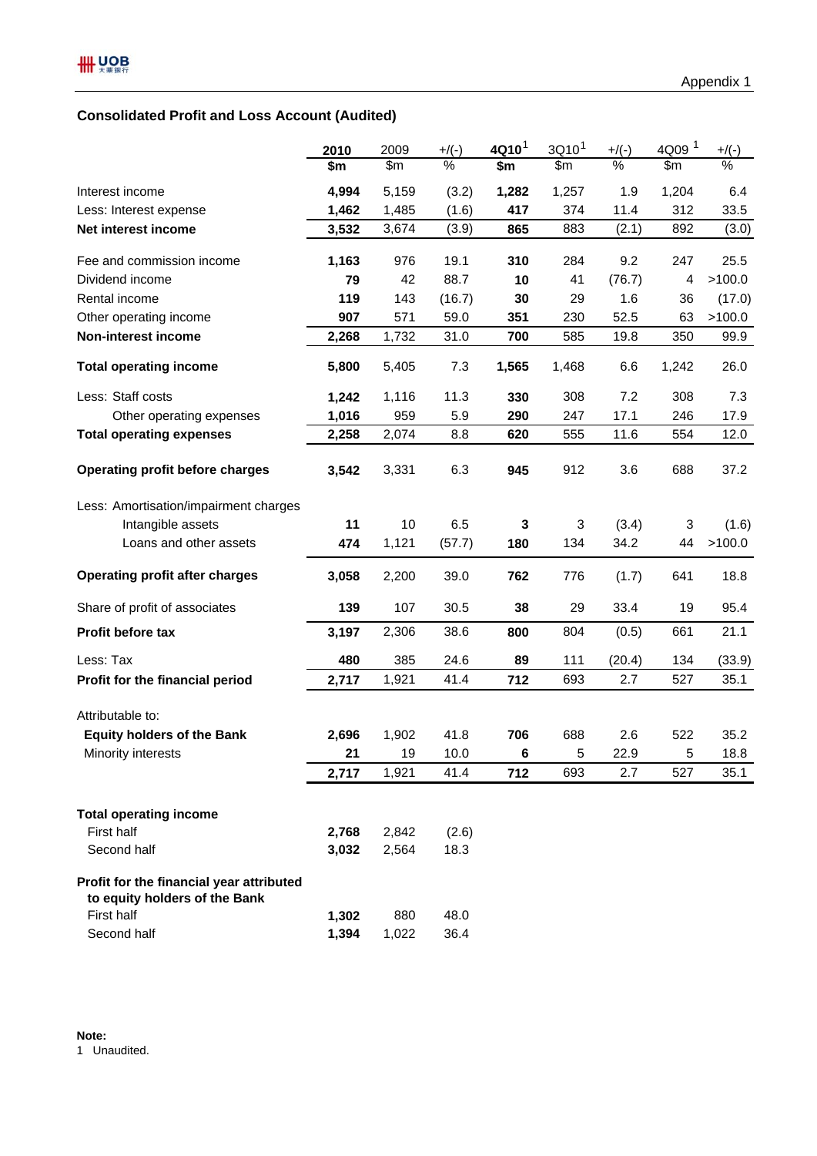# **Consolidated Profit and Loss Account (Audited)**

|                                          | 2010  | 2009  | $+$ /(-) | $4Q10^{1}$ | 3Q10 <sup>1</sup> | $+$ /(-) | 4Q09 <sup>1</sup> | $+$ /(-) |
|------------------------------------------|-------|-------|----------|------------|-------------------|----------|-------------------|----------|
|                                          | \$m   | \$m   | $\%$     | \$m        | \$m               | $\%$     | \$m               | $\%$     |
| Interest income                          | 4,994 | 5,159 | (3.2)    | 1,282      | 1,257             | 1.9      | 1,204             | 6.4      |
| Less: Interest expense                   | 1,462 | 1,485 | (1.6)    | 417        | 374               | 11.4     | 312               | 33.5     |
| Net interest income                      | 3,532 | 3,674 | (3.9)    | 865        | 883               | (2.1)    | 892               | (3.0)    |
| Fee and commission income                | 1,163 | 976   | 19.1     | 310        | 284               | 9.2      | 247               | 25.5     |
| Dividend income                          | 79    | 42    | 88.7     | 10         | 41                | (76.7)   | $\overline{4}$    | >100.0   |
| Rental income                            | 119   | 143   | (16.7)   | 30         | 29                | 1.6      | 36                | (17.0)   |
| Other operating income                   | 907   | 571   | 59.0     | 351        | 230               | 52.5     | 63                | >100.0   |
| <b>Non-interest income</b>               | 2,268 | 1,732 | 31.0     | 700        | 585               | 19.8     | 350               | 99.9     |
| <b>Total operating income</b>            | 5,800 | 5,405 | 7.3      | 1,565      | 1,468             | 6.6      | 1,242             | 26.0     |
| Less: Staff costs                        | 1,242 | 1,116 | 11.3     | 330        | 308               | 7.2      | 308               | 7.3      |
| Other operating expenses                 | 1,016 | 959   | 5.9      | 290        | 247               | 17.1     | 246               | 17.9     |
| <b>Total operating expenses</b>          | 2,258 | 2,074 | 8.8      | 620        | 555               | 11.6     | 554               | 12.0     |
| <b>Operating profit before charges</b>   | 3,542 | 3,331 | 6.3      | 945        | 912               | 3.6      | 688               | 37.2     |
| Less: Amortisation/impairment charges    |       |       |          |            |                   |          |                   |          |
| Intangible assets                        | 11    | 10    | 6.5      | 3          | 3                 | (3.4)    | 3                 | (1.6)    |
| Loans and other assets                   | 474   | 1,121 | (57.7)   | 180        | 134               | 34.2     | 44                | >100.0   |
| <b>Operating profit after charges</b>    | 3,058 | 2,200 | 39.0     | 762        | 776               | (1.7)    | 641               | 18.8     |
| Share of profit of associates            | 139   | 107   | 30.5     | 38         | 29                | 33.4     | 19                | 95.4     |
| Profit before tax                        | 3,197 | 2,306 | 38.6     | 800        | 804               | (0.5)    | 661               | 21.1     |
| Less: Tax                                | 480   | 385   | 24.6     | 89         | 111               | (20.4)   | 134               | (33.9)   |
| Profit for the financial period          | 2,717 | 1,921 | 41.4     | 712        | 693               | 2.7      | 527               | 35.1     |
| Attributable to:                         |       |       |          |            |                   |          |                   |          |
| <b>Equity holders of the Bank</b>        | 2,696 | 1,902 | 41.8     | 706        | 688               | 2.6      | 522               | 35.2     |
| Minority interests                       | 21    | 19    | 10.0     | 6          | 5                 | 22.9     | 5                 | 18.8     |
|                                          | 2,717 | 1,921 | 41.4     | 712        | 693               | 2.7      | 527               | 35.1     |
|                                          |       |       |          |            |                   |          |                   |          |
| <b>Total operating income</b>            |       |       |          |            |                   |          |                   |          |
| First half                               | 2,768 | 2,842 | (2.6)    |            |                   |          |                   |          |
| Second half                              | 3,032 | 2,564 | 18.3     |            |                   |          |                   |          |
| Profit for the financial year attributed |       |       |          |            |                   |          |                   |          |
| to equity holders of the Bank            |       |       |          |            |                   |          |                   |          |
| First half                               | 1,302 | 880   | 48.0     |            |                   |          |                   |          |
| Second half                              | 1,394 | 1,022 | 36.4     |            |                   |          |                   |          |

1 Unaudited.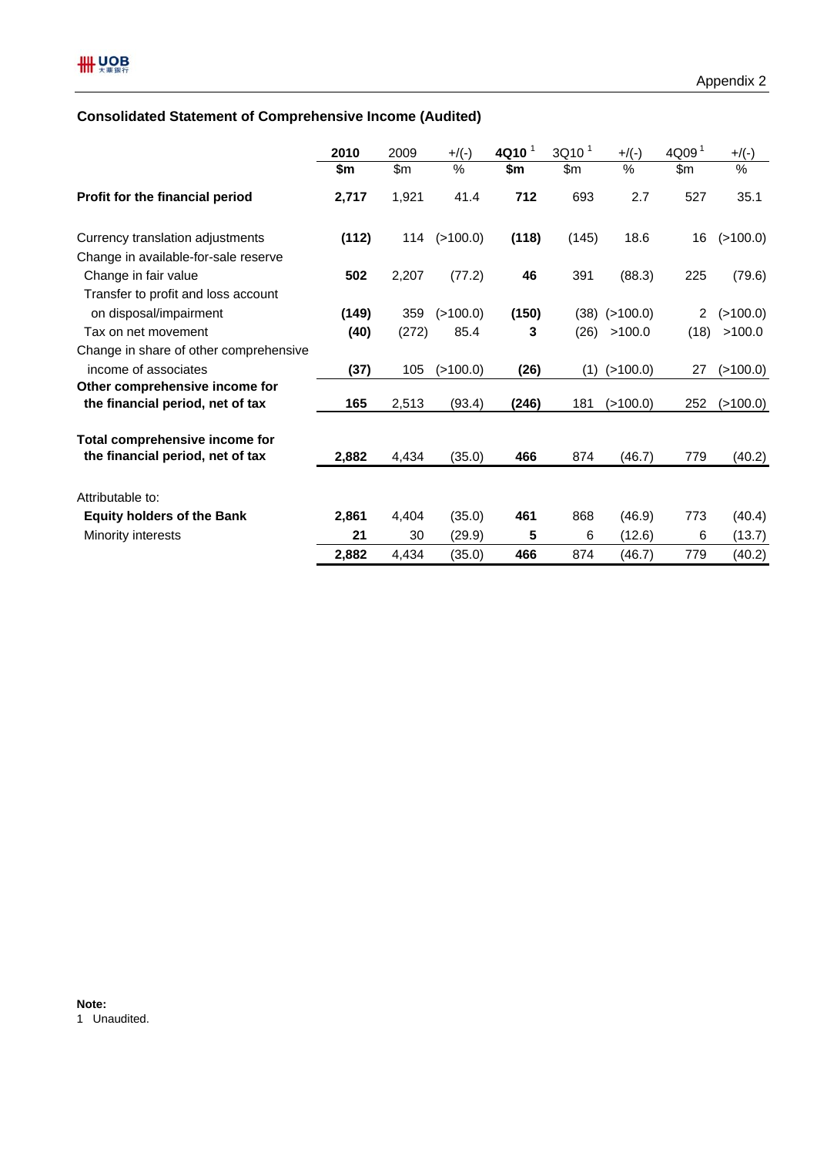# **Consolidated Statement of Comprehensive Income (Audited)**

|                                        | 2010  | 2009  | $+$ /(-) | 4Q10 $1$ | 3Q10 <sup>1</sup> | $+$ /(-)          | 4Q09 <sup>1</sup> | $+$ /(-) |
|----------------------------------------|-------|-------|----------|----------|-------------------|-------------------|-------------------|----------|
|                                        | \$m   | \$m   | %        | \$m      | \$m\$             | $\frac{0}{0}$     | \$m\$             | %        |
| Profit for the financial period        | 2,717 | 1,921 | 41.4     | 712      | 693               | 2.7               | 527               | 35.1     |
| Currency translation adjustments       | (112) | 114   | (>100.0) | (118)    | (145)             | 18.6              | 16                | (>100.0) |
| Change in available-for-sale reserve   |       |       |          |          |                   |                   |                   |          |
| Change in fair value                   | 502   | 2,207 | (77.2)   | 46       | 391               | (88.3)            | 225               | (79.6)   |
| Transfer to profit and loss account    |       |       |          |          |                   |                   |                   |          |
| on disposal/impairment                 | (149) | 359   | (>100.0) | (150)    |                   | $(38)$ $(>100.0)$ | $\overline{2}$    | (>100.0) |
| Tax on net movement                    | (40)  | (272) | 85.4     | 3        | (26)              | >100.0            | (18)              | >100.0   |
| Change in share of other comprehensive |       |       |          |          |                   |                   |                   |          |
| income of associates                   | (37)  | 105   | (>100.0) | (26)     |                   | $(1)$ (>100.0)    | 27                | (>100.0) |
| Other comprehensive income for         |       |       |          |          |                   |                   |                   |          |
| the financial period, net of tax       | 165   | 2,513 | (93.4)   | (246)    | 181               | $($ >100.0)       | 252               | (>100.0) |
| Total comprehensive income for         |       |       |          |          |                   |                   |                   |          |
| the financial period, net of tax       | 2,882 | 4,434 | (35.0)   | 466      | 874               | (46.7)            | 779               | (40.2)   |
| Attributable to:                       |       |       |          |          |                   |                   |                   |          |
| <b>Equity holders of the Bank</b>      | 2,861 | 4,404 | (35.0)   | 461      | 868               | (46.9)            | 773               | (40.4)   |
| Minority interests                     | 21    | 30    | (29.9)   | 5        | 6                 | (12.6)            | 6                 | (13.7)   |
|                                        | 2,882 | 4,434 | (35.0)   | 466      | 874               | (46.7)            | 779               | (40.2)   |

**Note:**

1 Unaudited.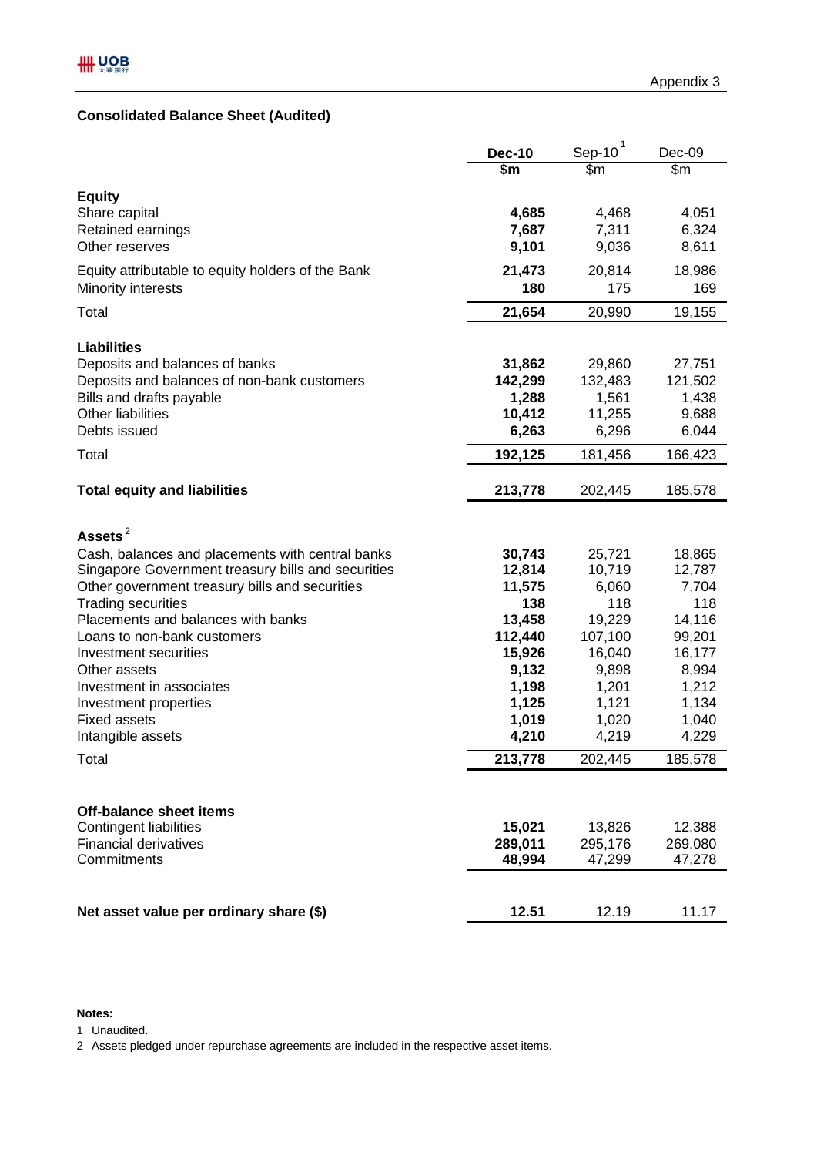# **Consolidated Balance Sheet (Audited)**

|                                                               | <b>Dec-10</b>          | $Sep-10$ <sup>1</sup> | Dec-09            |
|---------------------------------------------------------------|------------------------|-----------------------|-------------------|
|                                                               | $\overline{\text{sm}}$ | \$m\$                 | \$m\$             |
| <b>Equity</b>                                                 |                        |                       |                   |
| Share capital                                                 | 4,685                  | 4,468                 | 4,051             |
| Retained earnings                                             | 7,687                  | 7,311                 | 6,324             |
| Other reserves                                                | 9,101                  | 9,036                 | 8,611             |
| Equity attributable to equity holders of the Bank             | 21,473                 | 20,814                | 18,986            |
| Minority interests                                            | 180                    | 175                   | 169               |
| Total                                                         | 21,654                 | 20,990                | 19,155            |
|                                                               |                        |                       |                   |
| <b>Liabilities</b>                                            |                        |                       |                   |
| Deposits and balances of banks                                | 31,862                 | 29,860                | 27,751            |
| Deposits and balances of non-bank customers                   | 142,299                | 132,483               | 121,502           |
| Bills and drafts payable                                      | 1,288                  | 1,561                 | 1,438             |
| <b>Other liabilities</b>                                      | 10,412                 | 11,255                | 9,688             |
| Debts issued                                                  | 6,263                  | 6,296                 | 6,044             |
| Total                                                         | 192,125                | 181,456               | 166,423           |
| <b>Total equity and liabilities</b>                           | 213,778                | 202,445               | 185,578           |
|                                                               |                        |                       |                   |
| Assets $^2$                                                   |                        |                       |                   |
| Cash, balances and placements with central banks              | 30,743                 | 25,721                | 18,865            |
| Singapore Government treasury bills and securities            | 12,814                 | 10,719                | 12,787            |
| Other government treasury bills and securities                | 11,575                 | 6,060                 | 7,704             |
| <b>Trading securities</b>                                     | 138                    | 118                   | 118               |
| Placements and balances with banks                            | 13,458                 | 19,229                | 14,116            |
| Loans to non-bank customers                                   | 112,440                | 107,100               | 99,201            |
| Investment securities                                         | 15,926                 | 16,040                | 16,177            |
| Other assets                                                  | 9,132                  | 9,898                 | 8,994             |
| Investment in associates                                      | 1,198                  | 1,201                 | 1,212             |
| Investment properties                                         | 1,125                  | 1,121                 | 1,134             |
| <b>Fixed assets</b>                                           | 1,019                  | 1,020                 | 1,040             |
| Intangible assets                                             | 4,210                  | 4,219                 | 4,229             |
| Total                                                         | 213,778                | 202,445               | 185,578           |
|                                                               |                        |                       |                   |
|                                                               |                        |                       |                   |
| <b>Off-balance sheet items</b>                                |                        |                       |                   |
| <b>Contingent liabilities</b><br><b>Financial derivatives</b> | 15,021                 | 13,826                | 12,388            |
| Commitments                                                   | 289,011<br>48,994      | 295,176<br>47,299     | 269,080<br>47,278 |
|                                                               |                        |                       |                   |
| Net asset value per ordinary share (\$)                       | 12.51                  | 12.19                 | 11.17             |
|                                                               |                        |                       |                   |

# **Notes:**

1 Unaudited.

2 Assets pledged under repurchase agreements are included in the respective asset items.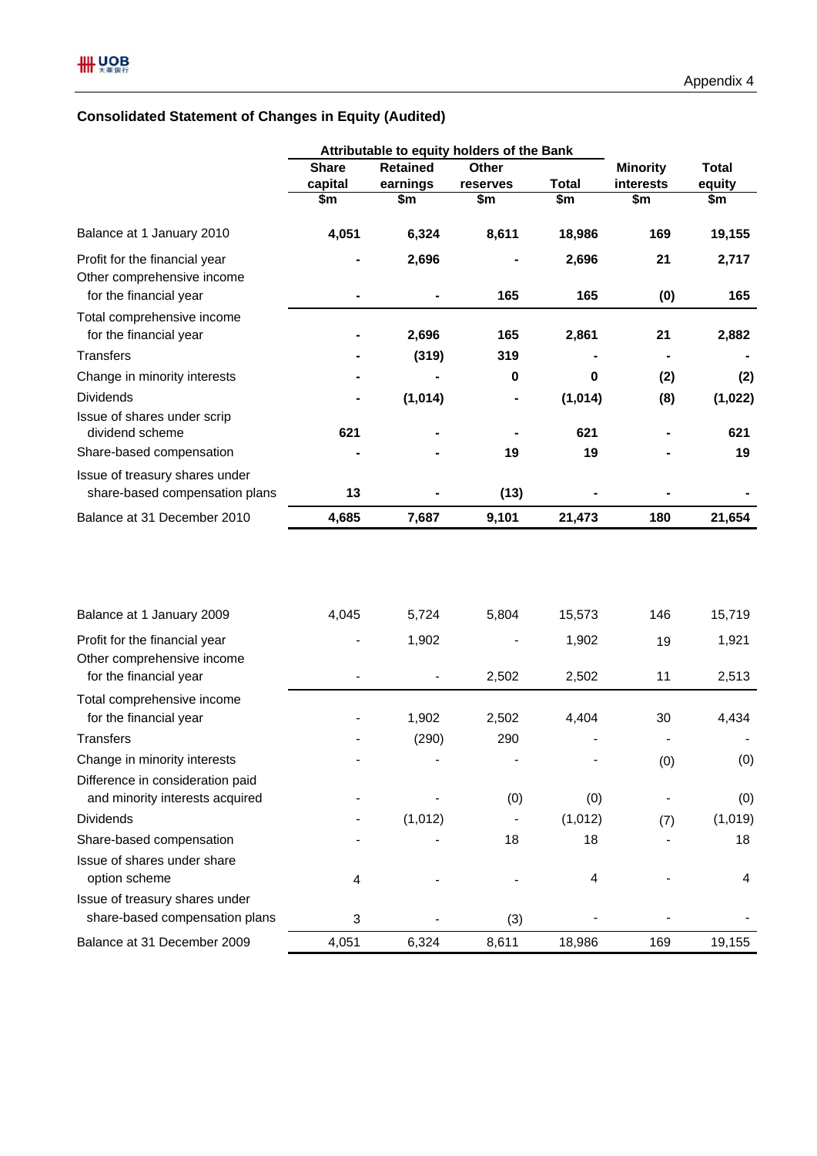# **Consolidated Statement of Changes in Equity (Audited)**

|                                |              | Attributable to equity holders of the Bank |             |          |                  |              |  |
|--------------------------------|--------------|--------------------------------------------|-------------|----------|------------------|--------------|--|
|                                | <b>Share</b> | <b>Retained</b>                            | Other       |          | <b>Minority</b>  | <b>Total</b> |  |
|                                | capital      | earnings                                   | reserves    | Total    | <b>interests</b> | equity       |  |
|                                | \$m          | \$m                                        | \$m         | \$m      | \$m              | \$m          |  |
| Balance at 1 January 2010      | 4,051        | 6,324                                      | 8,611       | 18,986   | 169              | 19,155       |  |
| Profit for the financial year  |              | 2,696                                      |             | 2,696    | 21               | 2,717        |  |
| Other comprehensive income     |              |                                            |             |          |                  |              |  |
| for the financial year         |              |                                            | 165         | 165      | (0)              | 165          |  |
| Total comprehensive income     |              |                                            |             |          |                  |              |  |
| for the financial year         |              | 2,696                                      | 165         | 2,861    | 21               | 2,882        |  |
| Transfers                      |              | (319)                                      | 319         |          |                  |              |  |
| Change in minority interests   |              |                                            | $\mathbf 0$ | 0        | (2)              | (2)          |  |
| <b>Dividends</b>               |              | (1,014)                                    | ۰           | (1, 014) | (8)              | (1,022)      |  |
| Issue of shares under scrip    |              |                                            |             |          |                  |              |  |
| dividend scheme                | 621          |                                            |             | 621      |                  | 621          |  |
| Share-based compensation       |              |                                            | 19          | 19       |                  | 19           |  |
| Issue of treasury shares under |              |                                            |             |          |                  |              |  |
| share-based compensation plans | 13           |                                            | (13)        |          |                  |              |  |
| Balance at 31 December 2010    | 4,685        | 7,687                                      | 9,101       | 21,473   | 180              | 21,654       |  |

| Balance at 1 January 2009                                           | 4,045 | 5,724   | 5,804 | 15,573  | 146 | 15,719  |
|---------------------------------------------------------------------|-------|---------|-------|---------|-----|---------|
| Profit for the financial year<br>Other comprehensive income         |       | 1,902   |       | 1,902   | 19  | 1,921   |
| for the financial year                                              |       |         | 2,502 | 2,502   | 11  | 2,513   |
| Total comprehensive income                                          |       |         |       |         |     |         |
| for the financial year                                              |       | 1,902   | 2,502 | 4,404   | 30  | 4,434   |
| Transfers                                                           |       | (290)   | 290   |         |     |         |
| Change in minority interests                                        |       |         |       |         | (0) | (0)     |
| Difference in consideration paid<br>and minority interests acquired |       |         | (0)   | (0)     |     | (0)     |
| <b>Dividends</b>                                                    |       | (1,012) |       | (1,012) | (7) | (1,019) |
| Share-based compensation                                            |       |         | 18    | 18      |     | 18      |
| Issue of shares under share<br>option scheme                        | 4     |         |       | 4       |     | 4       |
| Issue of treasury shares under                                      |       |         |       |         |     |         |
| share-based compensation plans                                      | 3     |         | (3)   |         |     |         |
| Balance at 31 December 2009                                         | 4,051 | 6,324   | 8,611 | 18,986  | 169 | 19,155  |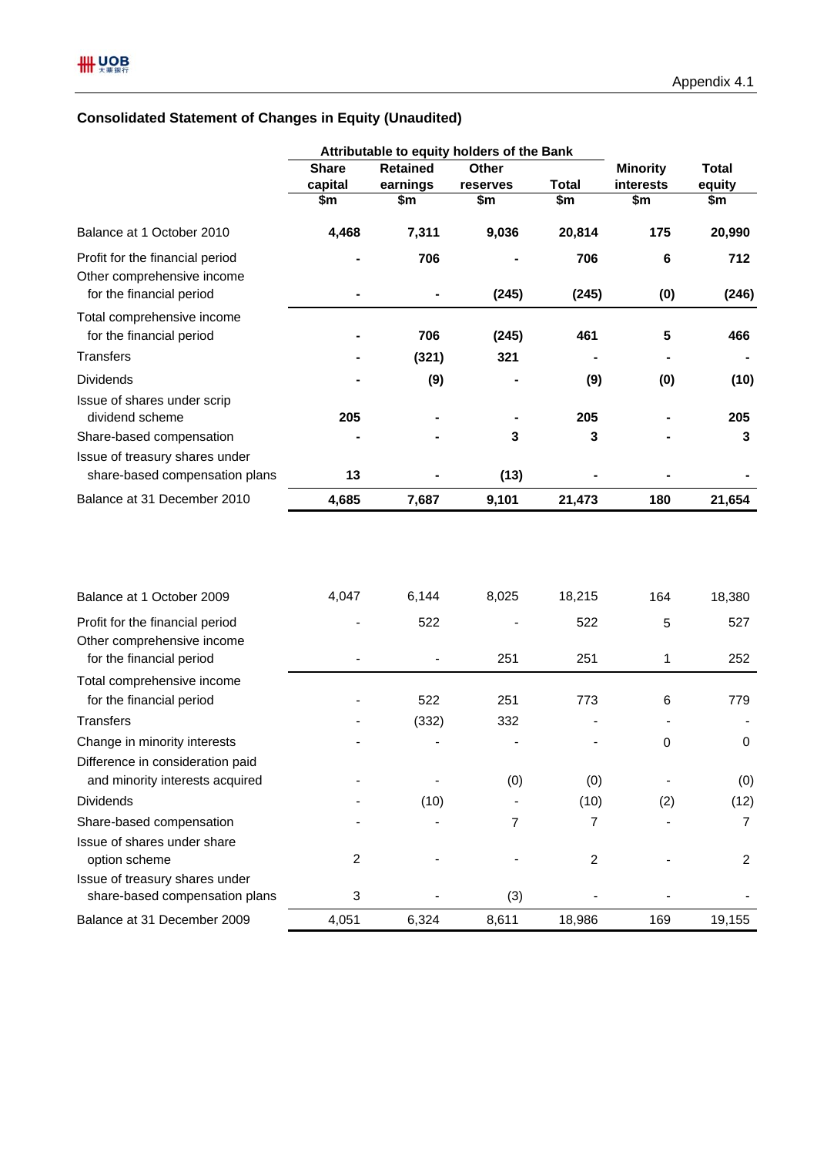# **Consolidated Statement of Changes in Equity (Unaudited)**

|                                                        | Attributable to equity holders of the Bank |                             |                          |        |                                     |                        |
|--------------------------------------------------------|--------------------------------------------|-----------------------------|--------------------------|--------|-------------------------------------|------------------------|
|                                                        | <b>Share</b><br>capital                    | <b>Retained</b><br>earnings | <b>Other</b><br>reserves | Total  | <b>Minority</b><br><b>interests</b> | <b>Total</b><br>equity |
|                                                        | \$m                                        | \$m                         | \$m                      | \$m    | \$m                                 | \$m                    |
| Balance at 1 October 2010                              | 4,468                                      | 7,311                       | 9,036                    | 20,814 | 175                                 | 20,990                 |
| Profit for the financial period                        |                                            | 706                         |                          | 706    | 6                                   | 712                    |
| Other comprehensive income<br>for the financial period |                                            |                             | (245)                    | (245)  | (0)                                 | (246)                  |
| Total comprehensive income                             |                                            |                             |                          |        |                                     |                        |
| for the financial period                               |                                            | 706                         | (245)                    | 461    | 5                                   | 466                    |
| Transfers                                              |                                            | (321)                       | 321                      |        |                                     |                        |
| <b>Dividends</b>                                       |                                            | (9)                         |                          | (9)    | (0)                                 | (10)                   |
| Issue of shares under scrip<br>dividend scheme         | 205                                        |                             |                          | 205    |                                     | 205                    |
| Share-based compensation                               |                                            |                             | 3                        | 3      |                                     | 3                      |
| Issue of treasury shares under                         |                                            |                             |                          |        |                                     |                        |
| share-based compensation plans                         | 13                                         |                             | (13)                     |        |                                     |                        |
| Balance at 31 December 2010                            | 4,685                                      | 7,687                       | 9,101                    | 21,473 | 180                                 | 21,654                 |
|                                                        |                                            |                             |                          |        |                                     |                        |

| Balance at 1 October 2009                                     | 4,047 | 6,144 | 8,025 | 18,215 | 164      | 18,380   |
|---------------------------------------------------------------|-------|-------|-------|--------|----------|----------|
| Profit for the financial period<br>Other comprehensive income |       | 522   |       | 522    | 5        | 527      |
| for the financial period                                      |       |       | 251   | 251    | 1        | 252      |
| Total comprehensive income                                    |       |       |       |        |          |          |
| for the financial period                                      |       | 522   | 251   | 773    | 6        | 779      |
| Transfers                                                     |       | (332) | 332   |        |          |          |
| Change in minority interests                                  |       |       |       |        | $\Omega$ | $\Omega$ |
| Difference in consideration paid                              |       |       |       |        |          |          |
| and minority interests acquired                               |       |       | (0)   | (0)    |          | (0)      |
| <b>Dividends</b>                                              |       | (10)  |       | (10)   | (2)      | (12)     |
| Share-based compensation                                      |       |       | 7     | 7      |          | 7        |
| Issue of shares under share                                   |       |       |       |        |          |          |
| option scheme                                                 | 2     |       |       | 2      |          | 2        |
| Issue of treasury shares under                                |       |       |       |        |          |          |
| share-based compensation plans                                | 3     |       | (3)   |        |          |          |
| Balance at 31 December 2009                                   | 4,051 | 6,324 | 8,611 | 18,986 | 169      | 19,155   |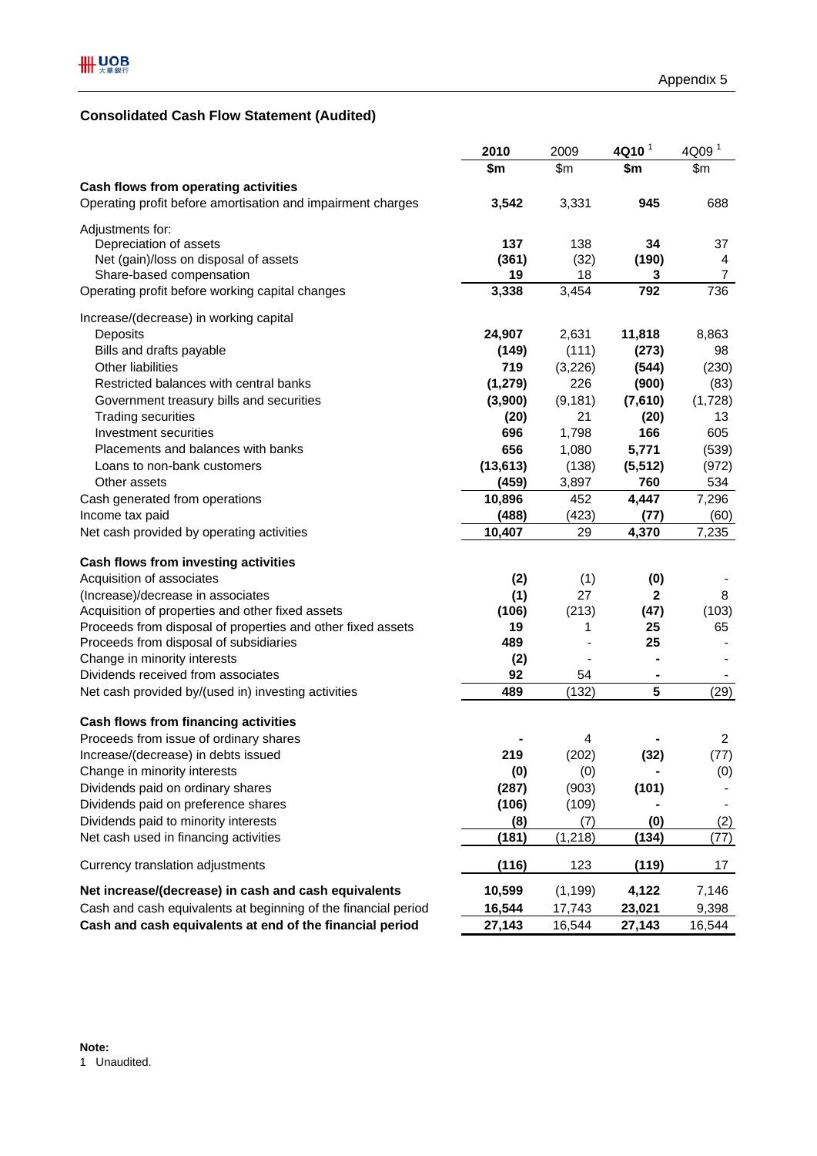# **Consolidated Cash Flow Statement (Audited)**

|                                                                | 2010      | 2009     | 4Q10 $1$    | 4Q09 <sup>1</sup> |
|----------------------------------------------------------------|-----------|----------|-------------|-------------------|
|                                                                | \$m       | \$m      | \$m         | \$m               |
| Cash flows from operating activities                           |           |          |             |                   |
| Operating profit before amortisation and impairment charges    | 3,542     | 3,331    | 945         | 688               |
| Adjustments for:                                               |           |          |             |                   |
| Depreciation of assets                                         | 137       | 138      | 34          | 37                |
| Net (gain)/loss on disposal of assets                          | (361)     | (32)     | (190)       | 4                 |
| Share-based compensation                                       | 19        | 18       | 3           | $\overline{7}$    |
| Operating profit before working capital changes                | 3,338     | 3,454    | 792         | 736               |
| Increase/(decrease) in working capital                         |           |          |             |                   |
| Deposits                                                       | 24,907    | 2,631    | 11,818      | 8,863             |
| Bills and drafts payable                                       | (149)     | (111)    | (273)       | 98                |
| Other liabilities                                              | 719       | (3,226)  | (544)       | (230)             |
| Restricted balances with central banks                         | (1, 279)  | 226      | (900)       | (83)              |
| Government treasury bills and securities                       | (3,900)   | (9, 181) | (7,610)     | (1,728)           |
| <b>Trading securities</b>                                      | (20)      | 21       | (20)        | 13                |
| Investment securities                                          | 696       | 1,798    | 166         | 605               |
| Placements and balances with banks                             | 656       | 1,080    | 5,771       | (539)             |
| Loans to non-bank customers                                    | (13, 613) | (138)    | (5, 512)    | (972)             |
| Other assets                                                   | (459)     | 3,897    | 760         | 534               |
| Cash generated from operations                                 | 10,896    | 452      | 4,447       | 7,296             |
| Income tax paid                                                | (488)     | (423)    | (77)        | (60)              |
| Net cash provided by operating activities                      | 10,407    | 29       | 4,370       | 7,235             |
| Cash flows from investing activities                           |           |          |             |                   |
| Acquisition of associates                                      | (2)       | (1)      | (0)         |                   |
| (Increase)/decrease in associates                              | (1)       | 27       | $\mathbf 2$ | 8                 |
| Acquisition of properties and other fixed assets               | (106)     | (213)    | (47)        | (103)             |
| Proceeds from disposal of properties and other fixed assets    | 19        | 1        | 25          | 65                |
| Proceeds from disposal of subsidiaries                         | 489       |          | 25          |                   |
| Change in minority interests                                   | (2)       |          |             |                   |
| Dividends received from associates                             | 92        | 54       |             |                   |
| Net cash provided by/(used in) investing activities            | 489       | (132)    | 5           | (29)              |
| Cash flows from financing activities                           |           |          |             |                   |
| Proceeds from issue of ordinary shares                         |           | 4        |             | $\mathbf{2}$      |
| Increase/(decrease) in debts issued                            | 219       | (202)    | (32)        | (77)              |
| Change in minority interests                                   | (0)       | (0)      |             | (0)               |
| Dividends paid on ordinary shares                              | (287)     | (903)    | (101)       |                   |
| Dividends paid on preference shares                            | (106)     | (109)    |             |                   |
| Dividends paid to minority interests                           | (8)       | (7)      | (0)         | (2)               |
| Net cash used in financing activities                          | (181)     | (1, 218) | (134)       | (77)              |
| Currency translation adjustments                               | (116)     | 123      | (119)       | 17                |
| Net increase/(decrease) in cash and cash equivalents           | 10,599    | (1, 199) | 4,122       | 7,146             |
| Cash and cash equivalents at beginning of the financial period | 16,544    | 17,743   | 23,021      | 9,398             |
| Cash and cash equivalents at end of the financial period       | 27,143    | 16,544   | 27,143      | 16,544            |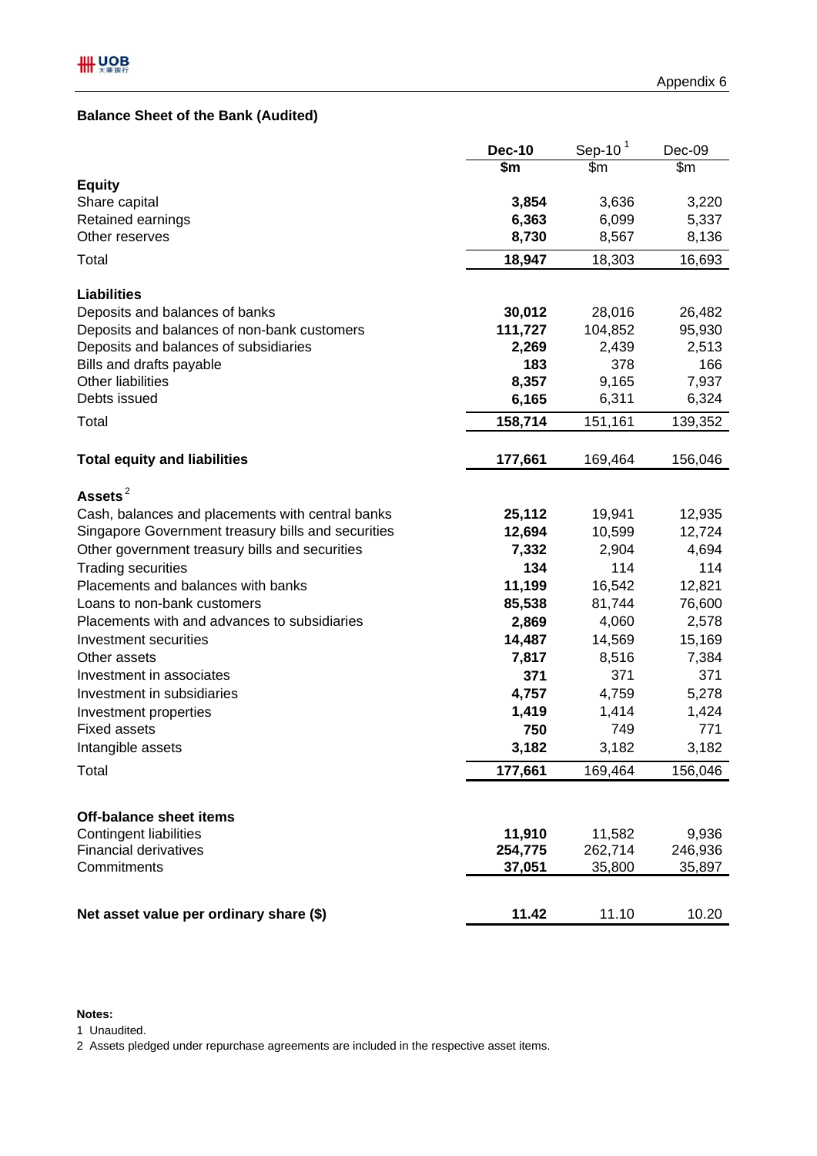# **Balance Sheet of the Bank (Audited)**

|                                                                 | <b>Dec-10</b>     | 1<br>Sep-10 | Dec-09           |
|-----------------------------------------------------------------|-------------------|-------------|------------------|
|                                                                 | $\frac{2}{3}$     | \$m         | $\overline{\$m}$ |
| <b>Equity</b>                                                   |                   |             |                  |
| Share capital                                                   | 3,854             | 3,636       | 3,220            |
| Retained earnings                                               | 6,363             | 6,099       | 5,337            |
| Other reserves                                                  | 8,730             | 8,567       | 8,136            |
| Total                                                           | 18,947            | 18,303      | 16,693           |
| <b>Liabilities</b>                                              |                   |             |                  |
| Deposits and balances of banks                                  | 30,012            | 28,016      | 26,482           |
| Deposits and balances of non-bank customers                     | 111,727           | 104,852     | 95,930           |
| Deposits and balances of subsidiaries                           | 2,269             | 2,439       | 2,513            |
| Bills and drafts payable                                        | 183               | 378         | 166              |
| <b>Other liabilities</b>                                        | 8,357             | 9,165       | 7,937            |
| Debts issued                                                    | 6,165             | 6,311       | 6,324            |
| Total                                                           | 158,714           | 151,161     | 139,352          |
| <b>Total equity and liabilities</b>                             | 177,661           | 169,464     | 156,046          |
|                                                                 |                   |             |                  |
| Assets $^2$                                                     |                   |             |                  |
| Cash, balances and placements with central banks                | 25,112            | 19,941      | 12,935           |
| Singapore Government treasury bills and securities              | 12,694            | 10,599      | 12,724           |
| Other government treasury bills and securities                  | 7,332             | 2,904       | 4,694            |
| <b>Trading securities</b>                                       | 134               | 114         | 114              |
| Placements and balances with banks                              | 11,199            | 16,542      | 12,821           |
| Loans to non-bank customers                                     | 85,538            | 81,744      | 76,600           |
| Placements with and advances to subsidiaries                    | 2,869             | 4,060       | 2,578            |
| Investment securities                                           | 14,487            | 14,569      | 15,169           |
| Other assets                                                    | 7,817             | 8,516       | 7,384            |
| Investment in associates                                        | 371               | 371         | 371              |
| Investment in subsidiaries                                      | 4,757             | 4,759       | 5,278            |
| Investment properties                                           | 1,419             | 1,414       | 1,424            |
| <b>Fixed assets</b>                                             | 750               | 749         | 771              |
| Intangible assets                                               | 3,182             | 3,182       | 3,182            |
| Total                                                           | 177,661           | 169,464     | 156,046          |
|                                                                 |                   |             |                  |
| <b>Off-balance sheet items</b><br><b>Contingent liabilities</b> |                   | 11,582      | 9,936            |
| <b>Financial derivatives</b>                                    | 11,910<br>254,775 | 262,714     | 246,936          |
| Commitments                                                     | 37,051            | 35,800      | 35,897           |
|                                                                 |                   |             |                  |
| Net asset value per ordinary share (\$)                         | 11.42             | 11.10       | 10.20            |

# **Notes:**

1 Unaudited.

2 Assets pledged under repurchase agreements are included in the respective asset items.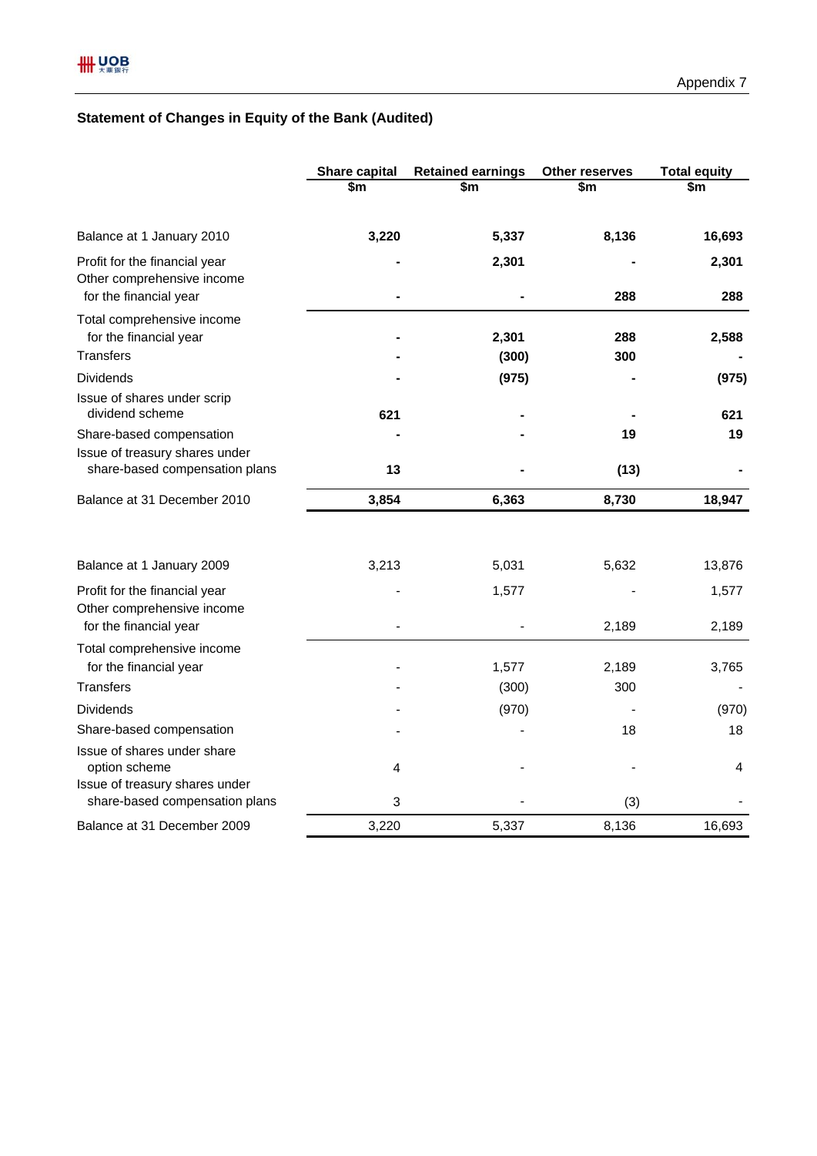# **Statement of Changes in Equity of the Bank (Audited)**

|                                                                                                                  | Share capital | <b>Retained earnings</b> | Other reserves | <b>Total equity</b> |  |
|------------------------------------------------------------------------------------------------------------------|---------------|--------------------------|----------------|---------------------|--|
|                                                                                                                  | \$m           | \$m                      | \$m            | \$m                 |  |
| Balance at 1 January 2010                                                                                        | 3,220         | 5,337                    | 8,136          | 16,693              |  |
| Profit for the financial year<br>Other comprehensive income<br>for the financial year                            |               | 2,301                    | 288            | 2,301<br>288        |  |
| Total comprehensive income<br>for the financial year<br><b>Transfers</b>                                         |               | 2,301<br>(300)           | 288<br>300     | 2,588               |  |
| <b>Dividends</b><br>Issue of shares under scrip<br>dividend scheme<br>Share-based compensation                   | 621           | (975)                    | 19             | (975)<br>621<br>19  |  |
| Issue of treasury shares under<br>share-based compensation plans                                                 | 13            |                          | (13)           |                     |  |
| Balance at 31 December 2010                                                                                      | 3,854         | 6,363                    | 8,730          | 18,947              |  |
| Balance at 1 January 2009                                                                                        | 3,213         | 5,031                    | 5,632          | 13,876              |  |
| Profit for the financial year<br>Other comprehensive income<br>for the financial year                            |               | 1,577                    | 2,189          | 1,577<br>2,189      |  |
| Total comprehensive income<br>for the financial year                                                             |               | 1,577                    | 2,189          | 3,765               |  |
| Transfers                                                                                                        |               | (300)                    | 300            |                     |  |
| <b>Dividends</b>                                                                                                 |               | (970)                    |                | (970)               |  |
| Share-based compensation                                                                                         |               |                          | 18             | 18                  |  |
| Issue of shares under share<br>option scheme<br>Issue of treasury shares under<br>share-based compensation plans | 4<br>3        |                          | (3)            | 4                   |  |
| Balance at 31 December 2009                                                                                      | 3,220         | 5,337                    | 8,136          | 16,693              |  |
|                                                                                                                  |               |                          |                |                     |  |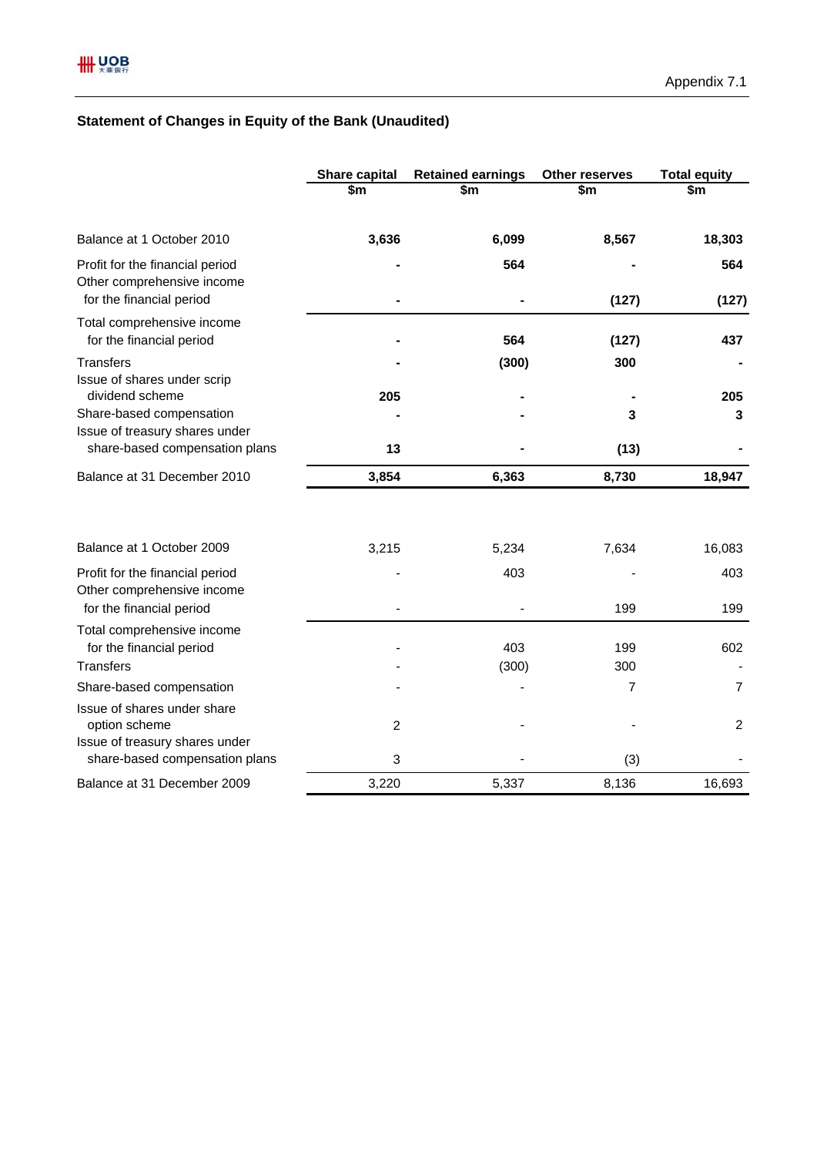# **Statement of Changes in Equity of the Bank (Unaudited)**

|                                                                                           | Share capital  | <b>Retained earnings</b> | Other reserves | <b>Total equity</b> |  |
|-------------------------------------------------------------------------------------------|----------------|--------------------------|----------------|---------------------|--|
|                                                                                           | \$m            | \$m                      | \$m            | \$m                 |  |
|                                                                                           |                |                          |                |                     |  |
| Balance at 1 October 2010                                                                 | 3,636          | 6,099                    | 8,567          | 18,303              |  |
| Profit for the financial period<br>Other comprehensive income<br>for the financial period |                | 564                      | (127)          | 564<br>(127)        |  |
| Total comprehensive income                                                                |                |                          |                |                     |  |
| for the financial period                                                                  |                | 564                      | (127)          | 437                 |  |
| <b>Transfers</b>                                                                          |                | (300)                    | 300            |                     |  |
| Issue of shares under scrip                                                               |                |                          |                |                     |  |
| dividend scheme                                                                           | 205            |                          |                | 205                 |  |
| Share-based compensation<br>Issue of treasury shares under                                |                |                          | 3              | 3                   |  |
| share-based compensation plans                                                            | 13             |                          | (13)           |                     |  |
| Balance at 31 December 2010                                                               | 3,854          | 6,363                    | 8,730          | 18,947              |  |
|                                                                                           |                |                          |                |                     |  |
| Balance at 1 October 2009                                                                 | 3,215          | 5,234                    | 7,634          | 16,083              |  |
| Profit for the financial period<br>Other comprehensive income                             |                | 403                      |                | 403                 |  |
| for the financial period                                                                  |                |                          | 199            | 199                 |  |
| Total comprehensive income                                                                |                |                          |                |                     |  |
| for the financial period                                                                  |                | 403                      | 199            | 602                 |  |
| <b>Transfers</b>                                                                          |                | (300)                    | 300            |                     |  |
| Share-based compensation                                                                  |                |                          | $\overline{7}$ | $\overline{7}$      |  |
| Issue of shares under share<br>option scheme                                              | $\overline{2}$ |                          |                | $\overline{2}$      |  |
| Issue of treasury shares under                                                            |                |                          |                |                     |  |
| share-based compensation plans                                                            | 3              |                          | (3)            |                     |  |
| Balance at 31 December 2009                                                               | 3,220          | 5,337                    | 8,136          | 16,693              |  |